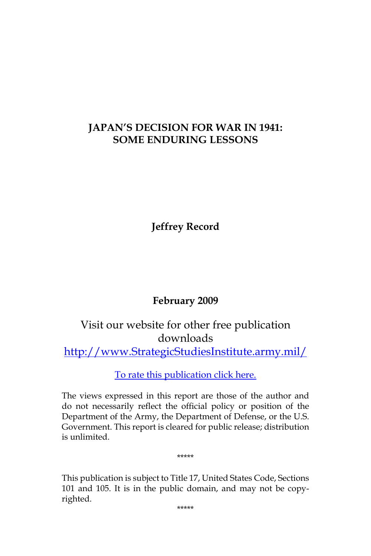## **JAPAN'S DECISION FOR WAR IN 1941: SOME ENDURING LESSONS**

**Jeffrey Record**

## **February 2009**

# Visit our website for other free publication downloads

[http://www.StrategicStudiesInstitute.army.mil/](http://www.strategicstudiesinstitute.army.mil/pubs/display.cfm?pubID=905)

[To rate this publication click here.](http://www.strategicstudiesinstitute.army.mil/pubs/display.cfm?pubID=890)

The views expressed in this report are those of the author and do not necessarily reflect the official policy or position of the Department of the Army, the Department of Defense, or the U.S. Government. This report is cleared for public release; distribution is unlimited.

This publication is subject to Title 17, United States Code, Sections 101 and 105. It is in the public domain, and may not be copyrighted.

\*\*\*\*\*

\*\*\*\*\*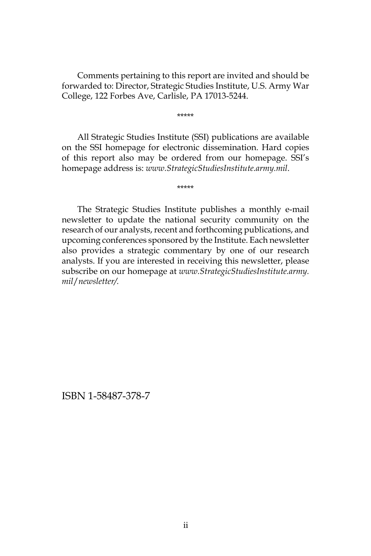Comments pertaining to this report are invited and should be forwarded to: Director, Strategic Studies Institute, U.S. Army War College, 122 Forbes Ave, Carlisle, PA 17013-5244.

\*\*\*\*\*

All Strategic Studies Institute (SSI) publications are available on the SSI homepage for electronic dissemination. Hard copies of this report also may be ordered from our homepage. SSI's homepage address is: *www.StrategicStudiesInstitute.army.mil*.

\*\*\*\*\*

The Strategic Studies Institute publishes a monthly e-mail newsletter to update the national security community on the research of our analysts, recent and forthcoming publications, and upcoming conferences sponsored by the Institute. Each newsletter also provides a strategic commentary by one of our research analysts. If you are interested in receiving this newsletter, please subscribe on our homepage at *www.StrategicStudiesInstitute.army. mil*/*newsletter/.*

ISBN 1-58487-378-7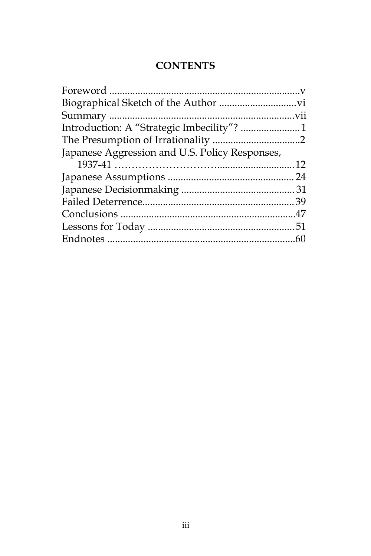## **CONTENTS**

| Introduction: A "Strategic Imbecility"? 1      |  |
|------------------------------------------------|--|
|                                                |  |
| Japanese Aggression and U.S. Policy Responses, |  |
|                                                |  |
|                                                |  |
|                                                |  |
|                                                |  |
|                                                |  |
|                                                |  |
|                                                |  |
|                                                |  |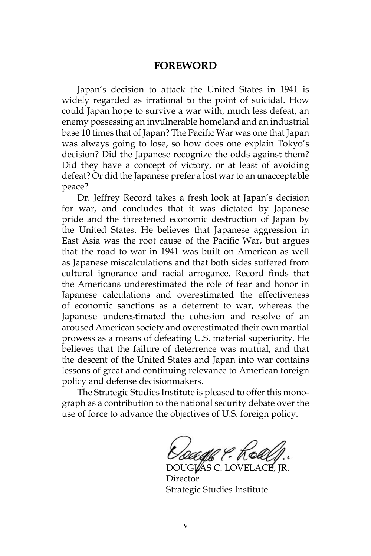#### **FOREWORD**

Japan's decision to attack the United States in 1941 is widely regarded as irrational to the point of suicidal. How could Japan hope to survive a war with, much less defeat, an enemy possessing an invulnerable homeland and an industrial base 10 times that of Japan? The Pacific War was one that Japan was always going to lose, so how does one explain Tokyo's decision? Did the Japanese recognize the odds against them? Did they have a concept of victory, or at least of avoiding defeat? Or did the Japanese prefer a lost war to an unacceptable peace?

Dr. Jeffrey Record takes a fresh look at Japan's decision for war, and concludes that it was dictated by Japanese pride and the threatened economic destruction of Japan by the United States. He believes that Japanese aggression in East Asia was the root cause of the Pacific War, but argues that the road to war in 1941 was built on American as well as Japanese miscalculations and that both sides suffered from cultural ignorance and racial arrogance. Record finds that the Americans underestimated the role of fear and honor in Japanese calculations and overestimated the effectiveness of economic sanctions as a deterrent to war, whereas the Japanese underestimated the cohesion and resolve of an aroused American society and overestimated their own martial prowess as a means of defeating U.S. material superiority. He believes that the failure of deterrence was mutual, and that the descent of the United States and Japan into war contains lessons of great and continuing relevance to American foreign policy and defense decisionmakers.

The Strategic Studies Institute is pleased to offer this monograph as a contribution to the national security debate over the use of force to advance the objectives of U.S. foreign policy.

ļ

DOUGLAS C. LOVELACE, JR. Director Strategic Studies Institute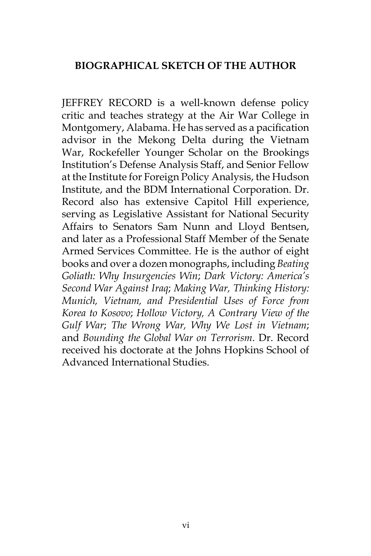## **BIOGRAPHICAL SKETCH OF THE AUTHOR**

JEFFREY RECORD is a well-known defense policy critic and teaches strategy at the Air War College in Montgomery, Alabama. He has served as a pacification advisor in the Mekong Delta during the Vietnam War, Rockefeller Younger Scholar on the Brookings Institution's Defense Analysis Staff, and Senior Fellow at the Institute for Foreign Policy Analysis, the Hudson Institute, and the BDM International Corporation. Dr. Record also has extensive Capitol Hill experience, serving as Legislative Assistant for National Security Affairs to Senators Sam Nunn and Lloyd Bentsen, and later as a Professional Staff Member of the Senate Armed Services Committee. He is the author of eight books and over a dozen monographs, including *Beating Goliath: Why Insurgencies Win*; *Dark Victory: America's Second War Against Iraq*; *Making War, Thinking History: Munich, Vietnam, and Presidential Uses of Force from Korea to Kosovo*; *Hollow Victory, A Contrary View of the Gulf War*; *The Wrong War, Why We Lost in Vietnam*; and *Bounding the Global War on Terrorism*. Dr. Record received his doctorate at the Johns Hopkins School of Advanced International Studies.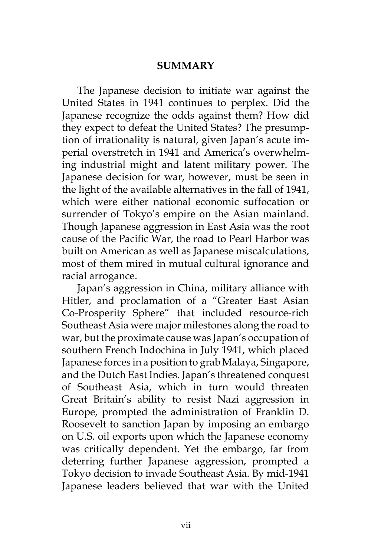#### **SUMMARY**

The Japanese decision to initiate war against the United States in 1941 continues to perplex. Did the Japanese recognize the odds against them? How did they expect to defeat the United States? The presumption of irrationality is natural, given Japan's acute imperial overstretch in 1941 and America's overwhelming industrial might and latent military power. The Japanese decision for war, however, must be seen in the light of the available alternatives in the fall of 1941, which were either national economic suffocation or surrender of Tokyo's empire on the Asian mainland. Though Japanese aggression in East Asia was the root cause of the Pacific War, the road to Pearl Harbor was built on American as well as Japanese miscalculations, most of them mired in mutual cultural ignorance and racial arrogance.

Japan's aggression in China, military alliance with Hitler, and proclamation of a "Greater East Asian Co-Prosperity Sphere" that included resource-rich Southeast Asia were major milestones along the road to war, but the proximate cause was Japan's occupation of southern French Indochina in July 1941, which placed Japanese forces in a position to grab Malaya, Singapore, and the Dutch East Indies. Japan's threatened conquest of Southeast Asia, which in turn would threaten Great Britain's ability to resist Nazi aggression in Europe, prompted the administration of Franklin D. Roosevelt to sanction Japan by imposing an embargo on U.S. oil exports upon which the Japanese economy was critically dependent. Yet the embargo, far from deterring further Japanese aggression, prompted a Tokyo decision to invade Southeast Asia. By mid-1941 Japanese leaders believed that war with the United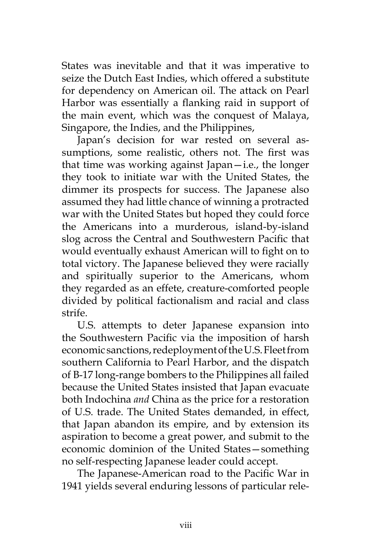States was inevitable and that it was imperative to seize the Dutch East Indies, which offered a substitute for dependency on American oil. The attack on Pearl Harbor was essentially a flanking raid in support of the main event, which was the conquest of Malaya, Singapore, the Indies, and the Philippines,

Japan's decision for war rested on several assumptions, some realistic, others not. The first was that time was working against Japan—i.e., the longer they took to initiate war with the United States, the dimmer its prospects for success. The Japanese also assumed they had little chance of winning a protracted war with the United States but hoped they could force the Americans into a murderous, island-by-island slog across the Central and Southwestern Pacific that would eventually exhaust American will to fight on to total victory. The Japanese believed they were racially and spiritually superior to the Americans, whom they regarded as an effete, creature-comforted people divided by political factionalism and racial and class strife.

U.S. attempts to deter Japanese expansion into the Southwestern Pacific via the imposition of harsh economic sanctions, redeployment of the U.S. Fleet from southern California to Pearl Harbor, and the dispatch of B-17 long-range bombers to the Philippines all failed because the United States insisted that Japan evacuate both Indochina *and* China as the price for a restoration of U.S. trade. The United States demanded, in effect, that Japan abandon its empire, and by extension its aspiration to become a great power, and submit to the economic dominion of the United States—something no self-respecting Japanese leader could accept.

The Japanese-American road to the Pacific War in 1941 yields several enduring lessons of particular rele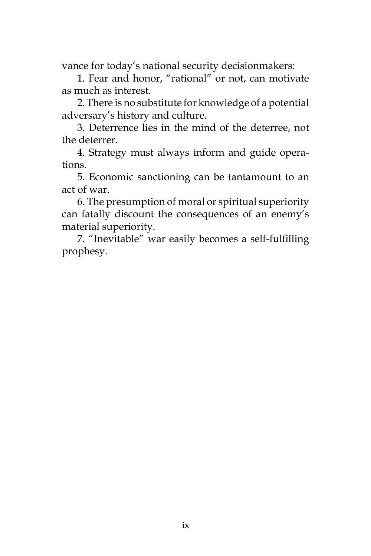vance for today's national security decisionmakers:

1. Fear and honor, "rational" or not, can motivate as much as interest.

2. There is no substitute for knowledge of a potential adversary's history and culture.

3. Deterrence lies in the mind of the deterree, not the deterrer.

4. Strategy must always inform and guide operations.

5. Economic sanctioning can be tantamount to an act of war.

6. The presumption of moral or spiritual superiority can fatally discount the consequences of an enemy's material superiority.

7. "Inevitable" war easily becomes a self-fulfilling prophesy.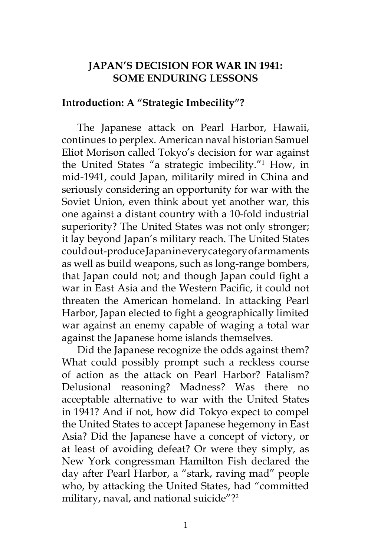## **JAPAN'S DECISION FOR WAR IN 1941: SOME ENDURING LESSONS**

### **Introduction: A "Strategic Imbecility"?**

The Japanese attack on Pearl Harbor, Hawaii, continues to perplex. American naval historian Samuel Eliot Morison called Tokyo's decision for war against the United States "a strategic imbecility."1 How, in mid-1941, could Japan, militarily mired in China and seriously considering an opportunity for war with the Soviet Union, even think about yet another war, this one against a distant country with a 10-fold industrial superiority? The United States was not only stronger; it lay beyond Japan's military reach. The United States could out-produce Japan in every category of armaments as well as build weapons, such as long-range bombers, that Japan could not; and though Japan could fight a war in East Asia and the Western Pacific, it could not threaten the American homeland. In attacking Pearl Harbor, Japan elected to fight a geographically limited war against an enemy capable of waging a total war against the Japanese home islands themselves.

Did the Japanese recognize the odds against them? What could possibly prompt such a reckless course of action as the attack on Pearl Harbor? Fatalism? Delusional reasoning? Madness? Was there no acceptable alternative to war with the United States in 1941? And if not, how did Tokyo expect to compel the United States to accept Japanese hegemony in East Asia? Did the Japanese have a concept of victory, or at least of avoiding defeat? Or were they simply, as New York congressman Hamilton Fish declared the day after Pearl Harbor, a "stark, raving mad" people who, by attacking the United States, had "committed military, naval, and national suicide"?<sup>2</sup>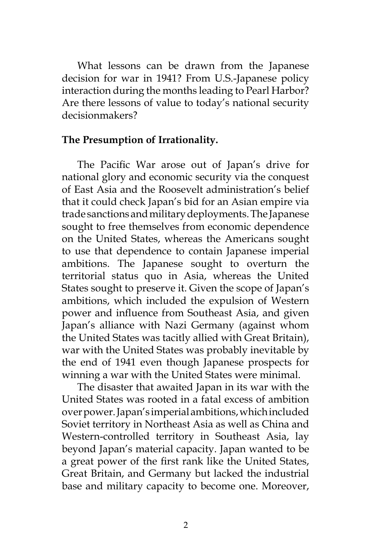What lessons can be drawn from the Japanese decision for war in 1941? From U.S.-Japanese policy interaction during the months leading to Pearl Harbor? Are there lessons of value to today's national security decisionmakers?

#### **The Presumption of Irrationality.**

The Pacific War arose out of Japan's drive for national glory and economic security via the conquest of East Asia and the Roosevelt administration's belief that it could check Japan's bid for an Asian empire via trade sanctions and military deployments. The Japanese sought to free themselves from economic dependence on the United States, whereas the Americans sought to use that dependence to contain Japanese imperial ambitions. The Japanese sought to overturn the territorial status quo in Asia, whereas the United States sought to preserve it. Given the scope of Japan's ambitions, which included the expulsion of Western power and influence from Southeast Asia, and given Japan's alliance with Nazi Germany (against whom the United States was tacitly allied with Great Britain), war with the United States was probably inevitable by the end of 1941 even though Japanese prospects for winning a war with the United States were minimal.

The disaster that awaited Japan in its war with the United States was rooted in a fatal excess of ambition over power. Japan's imperial ambitions, which included Soviet territory in Northeast Asia as well as China and Western-controlled territory in Southeast Asia, lay beyond Japan's material capacity. Japan wanted to be a great power of the first rank like the United States, Great Britain, and Germany but lacked the industrial base and military capacity to become one. Moreover,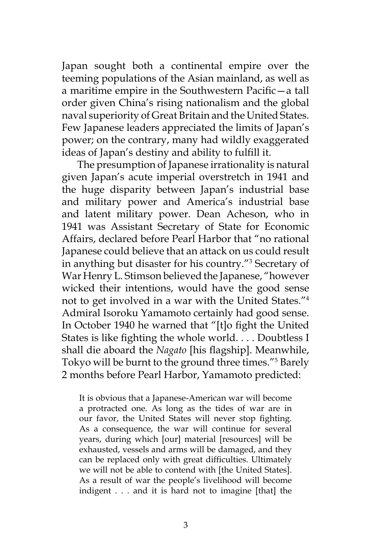Japan sought both a continental empire over the teeming populations of the Asian mainland, as well as a maritime empire in the Southwestern Pacific—a tall order given China's rising nationalism and the global naval superiority of Great Britain and the United States. Few Japanese leaders appreciated the limits of Japan's power; on the contrary, many had wildly exaggerated ideas of Japan's destiny and ability to fulfill it.

The presumption of Japanese irrationality is natural given Japan's acute imperial overstretch in 1941 and the huge disparity between Japan's industrial base and military power and America's industrial base and latent military power. Dean Acheson, who in 1941 was Assistant Secretary of State for Economic Affairs, declared before Pearl Harbor that "no rational Japanese could believe that an attack on us could result in anything but disaster for his country."3 Secretary of War Henry L. Stimson believed the Japanese, "however wicked their intentions, would have the good sense not to get involved in a war with the United States."4 Admiral Isoroku Yamamoto certainly had good sense. In October 1940 he warned that "[t]o fight the United States is like fighting the whole world. . . . Doubtless I shall die aboard the *Nagato* [his flagship]. Meanwhile, Tokyo will be burnt to the ground three times."5 Barely 2 months before Pearl Harbor, Yamamoto predicted:

It is obvious that a Japanese-American war will become a protracted one. As long as the tides of war are in our favor, the United States will never stop fighting. As a consequence, the war will continue for several years, during which [our] material [resources] will be exhausted, vessels and arms will be damaged, and they can be replaced only with great difficulties. Ultimately we will not be able to contend with [the United States]. As a result of war the people's livelihood will become indigent . . . and it is hard not to imagine [that] the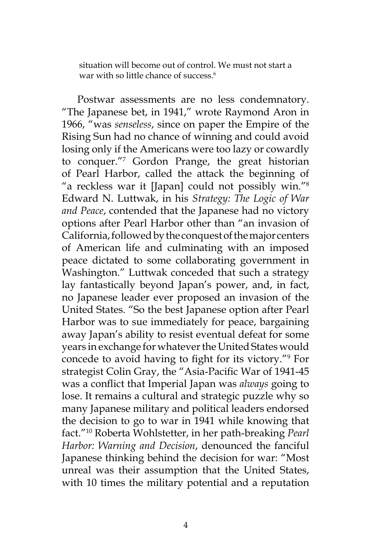situation will become out of control. We must not start a war with so little chance of success.<sup>6</sup>

Postwar assessments are no less condemnatory. "The Japanese bet, in 1941," wrote Raymond Aron in 1966, "was *senseless*, since on paper the Empire of the Rising Sun had no chance of winning and could avoid losing only if the Americans were too lazy or cowardly to conquer."7 Gordon Prange, the great historian of Pearl Harbor, called the attack the beginning of "a reckless war it [Japan] could not possibly win."<sup>8</sup> Edward N. Luttwak, in his *Strategy: The Logic of War and Peace*, contended that the Japanese had no victory options after Pearl Harbor other than "an invasion of California, followed by the conquest of the major centers of American life and culminating with an imposed peace dictated to some collaborating government in Washington." Luttwak conceded that such a strategy lay fantastically beyond Japan's power, and, in fact, no Japanese leader ever proposed an invasion of the United States. "So the best Japanese option after Pearl Harbor was to sue immediately for peace, bargaining away Japan's ability to resist eventual defeat for some years in exchange for whatever the United States would concede to avoid having to fight for its victory."<sup>9</sup> For strategist Colin Gray, the "Asia-Pacific War of 1941-45 was a conflict that Imperial Japan was *always* going to lose. It remains a cultural and strategic puzzle why so many Japanese military and political leaders endorsed the decision to go to war in 1941 while knowing that fact."10 Roberta Wohlstetter, in her path-breaking *Pearl Harbor: Warning and Decision*, denounced the fanciful Japanese thinking behind the decision for war: "Most unreal was their assumption that the United States, with 10 times the military potential and a reputation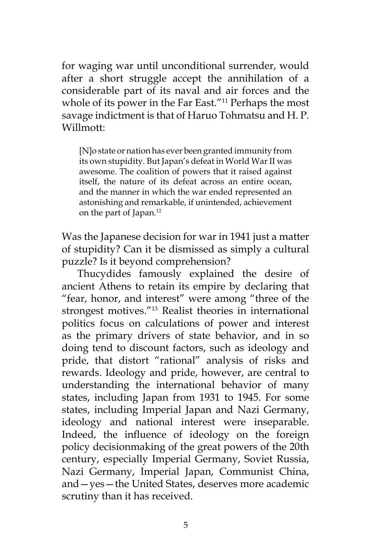for waging war until unconditional surrender, would after a short struggle accept the annihilation of a considerable part of its naval and air forces and the whole of its power in the Far East."<sup>11</sup> Perhaps the most savage indictment is that of Haruo Tohmatsu and H. P. Willmott:

[N]o state or nation has ever been granted immunity from its own stupidity. But Japan's defeat in World War II was awesome. The coalition of powers that it raised against itself, the nature of its defeat across an entire ocean, and the manner in which the war ended represented an astonishing and remarkable, if unintended, achievement on the part of Japan.12

Was the Japanese decision for war in 1941 just a matter of stupidity? Can it be dismissed as simply a cultural puzzle? Is it beyond comprehension?

Thucydides famously explained the desire of ancient Athens to retain its empire by declaring that "fear, honor, and interest" were among "three of the strongest motives."13 Realist theories in international politics focus on calculations of power and interest as the primary drivers of state behavior, and in so doing tend to discount factors, such as ideology and pride, that distort "rational" analysis of risks and rewards. Ideology and pride, however, are central to understanding the international behavior of many states, including Japan from 1931 to 1945. For some states, including Imperial Japan and Nazi Germany, ideology and national interest were inseparable. Indeed, the influence of ideology on the foreign policy decisionmaking of the great powers of the 20th century, especially Imperial Germany, Soviet Russia, Nazi Germany, Imperial Japan, Communist China, and—yes—the United States, deserves more academic scrutiny than it has received.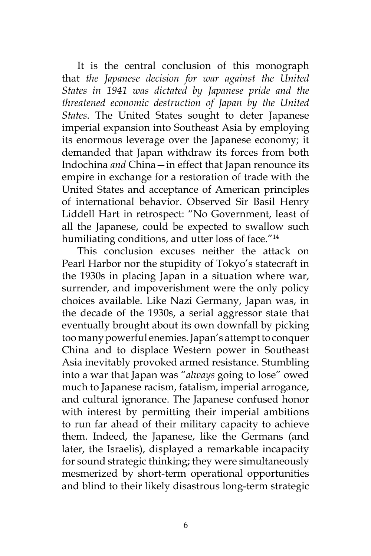It is the central conclusion of this monograph that *the Japanese decision for war against the United States in 1941 was dictated by Japanese pride and the threatened economic destruction of Japan by the United States*. The United States sought to deter Japanese imperial expansion into Southeast Asia by employing its enormous leverage over the Japanese economy; it demanded that Japan withdraw its forces from both Indochina *and* China—in effect that Japan renounce its empire in exchange for a restoration of trade with the United States and acceptance of American principles of international behavior. Observed Sir Basil Henry Liddell Hart in retrospect: "No Government, least of all the Japanese, could be expected to swallow such humiliating conditions, and utter loss of face."<sup>14</sup>

This conclusion excuses neither the attack on Pearl Harbor nor the stupidity of Tokyo's statecraft in the 1930s in placing Japan in a situation where war, surrender, and impoverishment were the only policy choices available. Like Nazi Germany, Japan was, in the decade of the 1930s, a serial aggressor state that eventually brought about its own downfall by picking too many powerful enemies. Japan's attempt to conquer China and to displace Western power in Southeast Asia inevitably provoked armed resistance. Stumbling into a war that Japan was "*always* going to lose" owed much to Japanese racism, fatalism, imperial arrogance, and cultural ignorance. The Japanese confused honor with interest by permitting their imperial ambitions to run far ahead of their military capacity to achieve them. Indeed, the Japanese, like the Germans (and later, the Israelis), displayed a remarkable incapacity for sound strategic thinking; they were simultaneously mesmerized by short-term operational opportunities and blind to their likely disastrous long-term strategic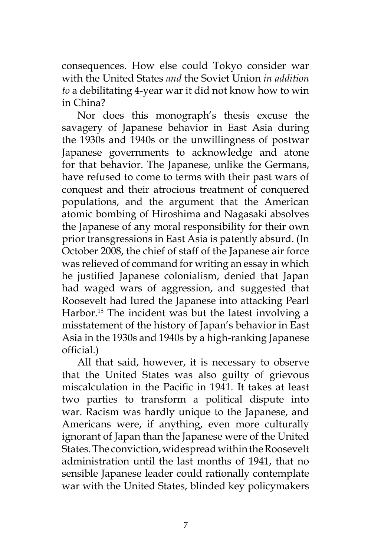consequences. How else could Tokyo consider war with the United States *and* the Soviet Union *in addition to* a debilitating 4-year war it did not know how to win in China?

Nor does this monograph's thesis excuse the savagery of Japanese behavior in East Asia during the 1930s and 1940s or the unwillingness of postwar Japanese governments to acknowledge and atone for that behavior. The Japanese, unlike the Germans, have refused to come to terms with their past wars of conquest and their atrocious treatment of conquered populations, and the argument that the American atomic bombing of Hiroshima and Nagasaki absolves the Japanese of any moral responsibility for their own prior transgressions in East Asia is patently absurd. (In October 2008, the chief of staff of the Japanese air force was relieved of command for writing an essay in which he justified Japanese colonialism, denied that Japan had waged wars of aggression, and suggested that Roosevelt had lured the Japanese into attacking Pearl Harbor.<sup>15</sup> The incident was but the latest involving a misstatement of the history of Japan's behavior in East Asia in the 1930s and 1940s by a high-ranking Japanese official.)

All that said, however, it is necessary to observe that the United States was also guilty of grievous miscalculation in the Pacific in 1941. It takes at least two parties to transform a political dispute into war. Racism was hardly unique to the Japanese, and Americans were, if anything, even more culturally ignorant of Japan than the Japanese were of the United States. The conviction, widespread within the Roosevelt administration until the last months of 1941, that no sensible Japanese leader could rationally contemplate war with the United States, blinded key policymakers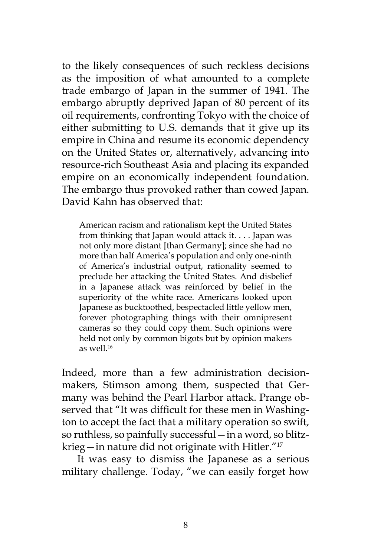to the likely consequences of such reckless decisions as the imposition of what amounted to a complete trade embargo of Japan in the summer of 1941. The embargo abruptly deprived Japan of 80 percent of its oil requirements, confronting Tokyo with the choice of either submitting to U.S. demands that it give up its empire in China and resume its economic dependency on the United States or, alternatively, advancing into resource-rich Southeast Asia and placing its expanded empire on an economically independent foundation. The embargo thus provoked rather than cowed Japan. David Kahn has observed that:

American racism and rationalism kept the United States from thinking that Japan would attack it. . . . Japan was not only more distant [than Germany]; since she had no more than half America's population and only one-ninth of America's industrial output, rationality seemed to preclude her attacking the United States. And disbelief in a Japanese attack was reinforced by belief in the superiority of the white race. Americans looked upon Japanese as bucktoothed, bespectacled little yellow men, forever photographing things with their omnipresent cameras so they could copy them. Such opinions were held not only by common bigots but by opinion makers as well.16

Indeed, more than a few administration decisionmakers, Stimson among them, suspected that Germany was behind the Pearl Harbor attack. Prange observed that "It was difficult for these men in Washington to accept the fact that a military operation so swift, so ruthless, so painfully successful—in a word, so blitzkrieg-in nature did not originate with Hitler."<sup>17</sup>

It was easy to dismiss the Japanese as a serious military challenge. Today, "we can easily forget how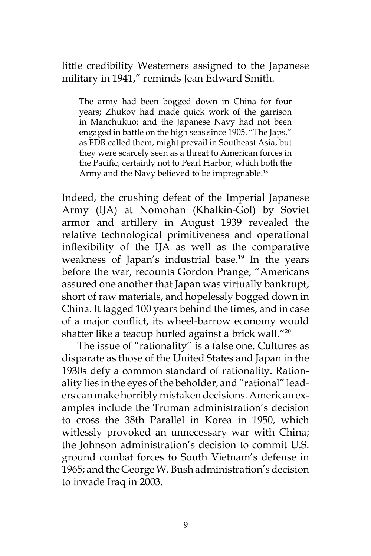little credibility Westerners assigned to the Japanese military in 1941," reminds Jean Edward Smith.

The army had been bogged down in China for four years; Zhukov had made quick work of the garrison in Manchukuo; and the Japanese Navy had not been engaged in battle on the high seas since 1905. "The Japs," as FDR called them, might prevail in Southeast Asia, but they were scarcely seen as a threat to American forces in the Pacific, certainly not to Pearl Harbor, which both the Army and the Navy believed to be impregnable.<sup>18</sup>

Indeed, the crushing defeat of the Imperial Japanese Army (IJA) at Nomohan (Khalkin-Gol) by Soviet armor and artillery in August 1939 revealed the relative technological primitiveness and operational inflexibility of the IJA as well as the comparative weakness of Japan's industrial base.<sup>19</sup> In the years before the war, recounts Gordon Prange, "Americans assured one another that Japan was virtually bankrupt, short of raw materials, and hopelessly bogged down in China. It lagged 100 years behind the times, and in case of a major conflict, its wheel-barrow economy would shatter like a teacup hurled against a brick wall."<sup>20</sup>

The issue of "rationality" is a false one. Cultures as disparate as those of the United States and Japan in the 1930s defy a common standard of rationality. Rationality lies in the eyes of the beholder, and "rational" leaders can make horribly mistaken decisions. American examples include the Truman administration's decision to cross the 38th Parallel in Korea in 1950, which witlessly provoked an unnecessary war with China; the Johnson administration's decision to commit U.S. ground combat forces to South Vietnam's defense in 1965; and the George W. Bush administration's decision to invade Iraq in 2003.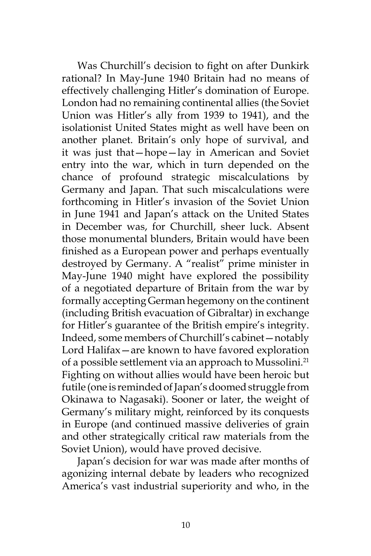Was Churchill's decision to fight on after Dunkirk rational? In May-June 1940 Britain had no means of effectively challenging Hitler's domination of Europe. London had no remaining continental allies (the Soviet Union was Hitler's ally from 1939 to 1941), and the isolationist United States might as well have been on another planet. Britain's only hope of survival, and it was just that—hope—lay in American and Soviet entry into the war, which in turn depended on the chance of profound strategic miscalculations by Germany and Japan. That such miscalculations were forthcoming in Hitler's invasion of the Soviet Union in June 1941 and Japan's attack on the United States in December was, for Churchill, sheer luck. Absent those monumental blunders, Britain would have been finished as a European power and perhaps eventually destroyed by Germany. A "realist" prime minister in May-June 1940 might have explored the possibility of a negotiated departure of Britain from the war by formally accepting German hegemony on the continent (including British evacuation of Gibraltar) in exchange for Hitler's guarantee of the British empire's integrity. Indeed, some members of Churchill's cabinet—notably Lord Halifax—are known to have favored exploration of a possible settlement via an approach to Mussolini.<sup>21</sup> Fighting on without allies would have been heroic but futile (one is reminded of Japan's doomed struggle from Okinawa to Nagasaki). Sooner or later, the weight of Germany's military might, reinforced by its conquests in Europe (and continued massive deliveries of grain and other strategically critical raw materials from the Soviet Union), would have proved decisive.

Japan's decision for war was made after months of agonizing internal debate by leaders who recognized America's vast industrial superiority and who, in the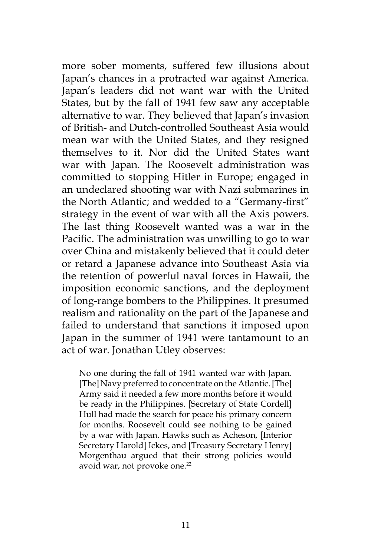more sober moments, suffered few illusions about Japan's chances in a protracted war against America. Japan's leaders did not want war with the United States, but by the fall of 1941 few saw any acceptable alternative to war. They believed that Japan's invasion of British- and Dutch-controlled Southeast Asia would mean war with the United States, and they resigned themselves to it. Nor did the United States want war with Japan. The Roosevelt administration was committed to stopping Hitler in Europe; engaged in an undeclared shooting war with Nazi submarines in the North Atlantic; and wedded to a "Germany-first" strategy in the event of war with all the Axis powers. The last thing Roosevelt wanted was a war in the Pacific. The administration was unwilling to go to war over China and mistakenly believed that it could deter or retard a Japanese advance into Southeast Asia via the retention of powerful naval forces in Hawaii, the imposition economic sanctions, and the deployment of long-range bombers to the Philippines. It presumed realism and rationality on the part of the Japanese and failed to understand that sanctions it imposed upon Japan in the summer of 1941 were tantamount to an act of war. Jonathan Utley observes:

No one during the fall of 1941 wanted war with Japan. [The] Navy preferred to concentrate on the Atlantic. [The] Army said it needed a few more months before it would be ready in the Philippines. [Secretary of State Cordell] Hull had made the search for peace his primary concern for months. Roosevelt could see nothing to be gained by a war with Japan. Hawks such as Acheson, [Interior Secretary Harold] Ickes, and [Treasury Secretary Henry] Morgenthau argued that their strong policies would avoid war, not provoke one.<sup>22</sup>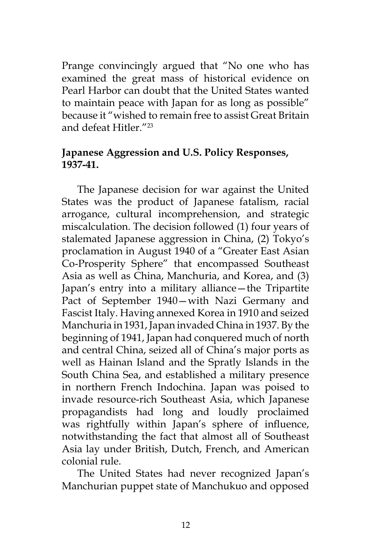Prange convincingly argued that "No one who has examined the great mass of historical evidence on Pearl Harbor can doubt that the United States wanted to maintain peace with Japan for as long as possible" because it "wished to remain free to assist Great Britain and defeat Hitler."23

## **Japanese Aggression and U.S. Policy Responses, 1937-41.**

The Japanese decision for war against the United States was the product of Japanese fatalism, racial arrogance, cultural incomprehension, and strategic miscalculation. The decision followed (1) four years of stalemated Japanese aggression in China, (2) Tokyo's proclamation in August 1940 of a "Greater East Asian Co-Prosperity Sphere" that encompassed Southeast Asia as well as China, Manchuria, and Korea, and (3) Japan's entry into a military alliance—the Tripartite Pact of September 1940—with Nazi Germany and Fascist Italy. Having annexed Korea in 1910 and seized Manchuria in 1931, Japan invaded China in 1937. By the beginning of 1941, Japan had conquered much of north and central China, seized all of China's major ports as well as Hainan Island and the Spratly Islands in the South China Sea, and established a military presence in northern French Indochina. Japan was poised to invade resource-rich Southeast Asia, which Japanese propagandists had long and loudly proclaimed was rightfully within Japan's sphere of influence, notwithstanding the fact that almost all of Southeast Asia lay under British, Dutch, French, and American colonial rule.

The United States had never recognized Japan's Manchurian puppet state of Manchukuo and opposed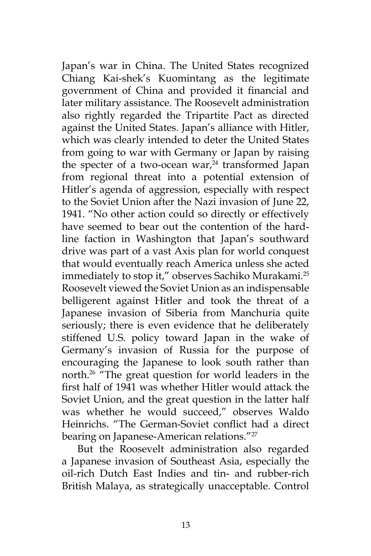Japan's war in China. The United States recognized Chiang Kai-shek's Kuomintang as the legitimate government of China and provided it financial and later military assistance. The Roosevelt administration also rightly regarded the Tripartite Pact as directed against the United States. Japan's alliance with Hitler, which was clearly intended to deter the United States from going to war with Germany or Japan by raising the specter of a two-ocean war, $24$  transformed Japan from regional threat into a potential extension of Hitler's agenda of aggression, especially with respect to the Soviet Union after the Nazi invasion of June 22, 1941. "No other action could so directly or effectively have seemed to bear out the contention of the hardline faction in Washington that Japan's southward drive was part of a vast Axis plan for world conquest that would eventually reach America unless she acted immediately to stop it," observes Sachiko Murakami.<sup>25</sup> Roosevelt viewed the Soviet Union as an indispensable belligerent against Hitler and took the threat of a Japanese invasion of Siberia from Manchuria quite seriously; there is even evidence that he deliberately stiffened U.S. policy toward Japan in the wake of Germany's invasion of Russia for the purpose of encouraging the Japanese to look south rather than north.26 "The great question for world leaders in the first half of 1941 was whether Hitler would attack the Soviet Union, and the great question in the latter half was whether he would succeed," observes Waldo Heinrichs. "The German-Soviet conflict had a direct bearing on Japanese-American relations."<sup>27</sup>

But the Roosevelt administration also regarded a Japanese invasion of Southeast Asia, especially the oil-rich Dutch East Indies and tin- and rubber-rich British Malaya, as strategically unacceptable. Control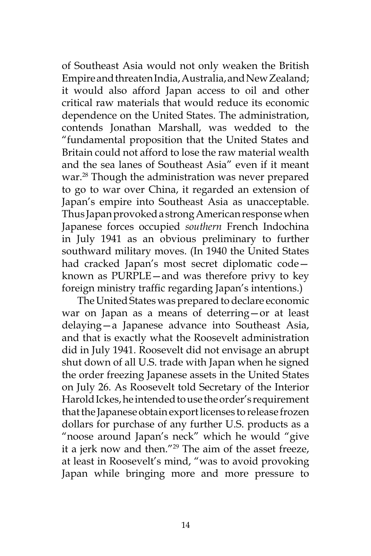of Southeast Asia would not only weaken the British Empire and threaten India, Australia, and New Zealand; it would also afford Japan access to oil and other critical raw materials that would reduce its economic dependence on the United States. The administration, contends Jonathan Marshall, was wedded to the "fundamental proposition that the United States and Britain could not afford to lose the raw material wealth and the sea lanes of Southeast Asia" even if it meant war.<sup>28</sup> Though the administration was never prepared to go to war over China, it regarded an extension of Japan's empire into Southeast Asia as unacceptable. Thus Japan provoked a strong American response when Japanese forces occupied *southern* French Indochina in July 1941 as an obvious preliminary to further southward military moves. (In 1940 the United States had cracked Japan's most secret diplomatic code known as PURPLE—and was therefore privy to key foreign ministry traffic regarding Japan's intentions.)

The United States was prepared to declare economic war on Japan as a means of deterring—or at least delaying—a Japanese advance into Southeast Asia, and that is exactly what the Roosevelt administration did in July 1941. Roosevelt did not envisage an abrupt shut down of all U.S. trade with Japan when he signed the order freezing Japanese assets in the United States on July 26. As Roosevelt told Secretary of the Interior Harold Ickes, he intended to use the order's requirement that the Japanese obtain export licenses to release frozen dollars for purchase of any further U.S. products as a "noose around Japan's neck" which he would "give it a jerk now and then."29 The aim of the asset freeze, at least in Roosevelt's mind, "was to avoid provoking Japan while bringing more and more pressure to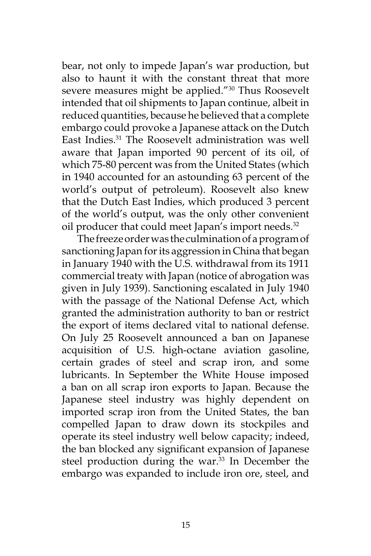bear, not only to impede Japan's war production, but also to haunt it with the constant threat that more severe measures might be applied."<sup>30</sup> Thus Roosevelt intended that oil shipments to Japan continue, albeit in reduced quantities, because he believed that a complete embargo could provoke a Japanese attack on the Dutch East Indies.31 The Roosevelt administration was well aware that Japan imported 90 percent of its oil, of which 75-80 percent was from the United States (which in 1940 accounted for an astounding 63 percent of the world's output of petroleum). Roosevelt also knew that the Dutch East Indies, which produced 3 percent of the world's output, was the only other convenient oil producer that could meet Japan's import needs.<sup>32</sup>

The freeze order was the culmination of a program of sanctioning Japan for its aggression in China that began in January 1940 with the U.S. withdrawal from its 1911 commercial treaty with Japan (notice of abrogation was given in July 1939). Sanctioning escalated in July 1940 with the passage of the National Defense Act, which granted the administration authority to ban or restrict the export of items declared vital to national defense. On July 25 Roosevelt announced a ban on Japanese acquisition of U.S. high-octane aviation gasoline, certain grades of steel and scrap iron, and some lubricants. In September the White House imposed a ban on all scrap iron exports to Japan. Because the Japanese steel industry was highly dependent on imported scrap iron from the United States, the ban compelled Japan to draw down its stockpiles and operate its steel industry well below capacity; indeed, the ban blocked any significant expansion of Japanese steel production during the war.<sup>33</sup> In December the embargo was expanded to include iron ore, steel, and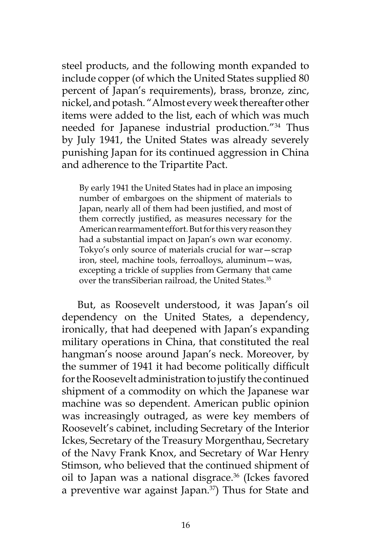steel products, and the following month expanded to include copper (of which the United States supplied 80 percent of Japan's requirements), brass, bronze, zinc, nickel, and potash. "Almost every week thereafter other items were added to the list, each of which was much needed for Japanese industrial production."34 Thus by July 1941, the United States was already severely punishing Japan for its continued aggression in China and adherence to the Tripartite Pact.

By early 1941 the United States had in place an imposing number of embargoes on the shipment of materials to Japan, nearly all of them had been justified, and most of them correctly justified, as measures necessary for the American rearmament effort. But for this very reason they had a substantial impact on Japan's own war economy. Tokyo's only source of materials crucial for war—scrap iron, steel, machine tools, ferroalloys, aluminum—was, excepting a trickle of supplies from Germany that came over the transSiberian railroad, the United States.<sup>35</sup>

But, as Roosevelt understood, it was Japan's oil dependency on the United States, a dependency, ironically, that had deepened with Japan's expanding military operations in China, that constituted the real hangman's noose around Japan's neck. Moreover, by the summer of 1941 it had become politically difficult for the Roosevelt administration to justify the continued shipment of a commodity on which the Japanese war machine was so dependent. American public opinion was increasingly outraged, as were key members of Roosevelt's cabinet, including Secretary of the Interior Ickes, Secretary of the Treasury Morgenthau, Secretary of the Navy Frank Knox, and Secretary of War Henry Stimson, who believed that the continued shipment of oil to Japan was a national disgrace.<sup>36</sup> (Ickes favored a preventive war against Japan.<sup>37</sup>) Thus for State and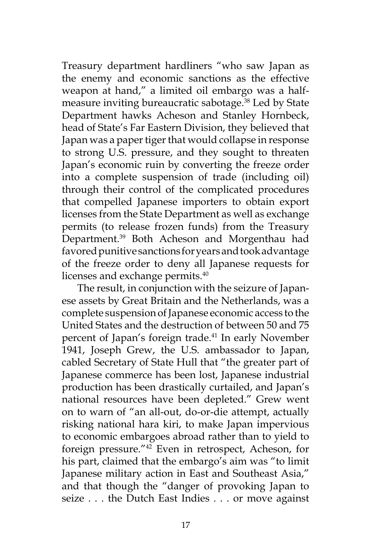Treasury department hardliners "who saw Japan as the enemy and economic sanctions as the effective weapon at hand," a limited oil embargo was a halfmeasure inviting bureaucratic sabotage.<sup>38</sup> Led by State Department hawks Acheson and Stanley Hornbeck, head of State's Far Eastern Division, they believed that Japan was a paper tiger that would collapse in response to strong U.S. pressure, and they sought to threaten Japan's economic ruin by converting the freeze order into a complete suspension of trade (including oil) through their control of the complicated procedures that compelled Japanese importers to obtain export licenses from the State Department as well as exchange permits (to release frozen funds) from the Treasury Department.39 Both Acheson and Morgenthau had favored punitive sanctions for years and took advantage of the freeze order to deny all Japanese requests for licenses and exchange permits.<sup>40</sup>

The result, in conjunction with the seizure of Japanese assets by Great Britain and the Netherlands, was a complete suspension of Japanese economic access to the United States and the destruction of between 50 and 75 percent of Japan's foreign trade.<sup>41</sup> In early November 1941, Joseph Grew, the U.S. ambassador to Japan, cabled Secretary of State Hull that "the greater part of Japanese commerce has been lost, Japanese industrial production has been drastically curtailed, and Japan's national resources have been depleted." Grew went on to warn of "an all-out, do-or-die attempt, actually risking national hara kiri, to make Japan impervious to economic embargoes abroad rather than to yield to foreign pressure."42 Even in retrospect, Acheson, for his part, claimed that the embargo's aim was "to limit Japanese military action in East and Southeast Asia," and that though the "danger of provoking Japan to seize . . . the Dutch East Indies . . . or move against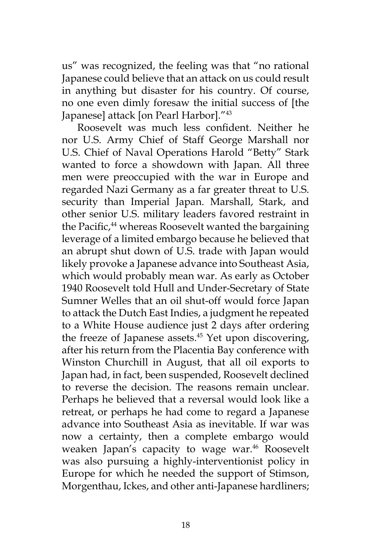us" was recognized, the feeling was that "no rational Japanese could believe that an attack on us could result in anything but disaster for his country. Of course, no one even dimly foresaw the initial success of [the Japanese] attack [on Pearl Harbor]."<sup>43</sup>

Roosevelt was much less confident. Neither he nor U.S. Army Chief of Staff George Marshall nor U.S. Chief of Naval Operations Harold "Betty" Stark wanted to force a showdown with Japan. All three men were preoccupied with the war in Europe and regarded Nazi Germany as a far greater threat to U.S. security than Imperial Japan. Marshall, Stark, and other senior U.S. military leaders favored restraint in the Pacific,<sup>44</sup> whereas Roosevelt wanted the bargaining leverage of a limited embargo because he believed that an abrupt shut down of U.S. trade with Japan would likely provoke a Japanese advance into Southeast Asia, which would probably mean war. As early as October 1940 Roosevelt told Hull and Under-Secretary of State Sumner Welles that an oil shut-off would force Japan to attack the Dutch East Indies, a judgment he repeated to a White House audience just 2 days after ordering the freeze of Japanese assets.45 Yet upon discovering, after his return from the Placentia Bay conference with Winston Churchill in August, that all oil exports to Japan had, in fact, been suspended, Roosevelt declined to reverse the decision. The reasons remain unclear. Perhaps he believed that a reversal would look like a retreat, or perhaps he had come to regard a Japanese advance into Southeast Asia as inevitable. If war was now a certainty, then a complete embargo would weaken Japan's capacity to wage war.<sup>46</sup> Roosevelt was also pursuing a highly-interventionist policy in Europe for which he needed the support of Stimson, Morgenthau, Ickes, and other anti-Japanese hardliners;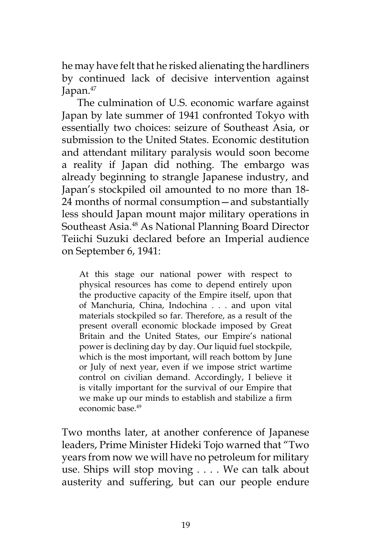he may have felt that he risked alienating the hardliners by continued lack of decisive intervention against Japan.<sup>47</sup>

The culmination of U.S. economic warfare against Japan by late summer of 1941 confronted Tokyo with essentially two choices: seizure of Southeast Asia, or submission to the United States. Economic destitution and attendant military paralysis would soon become a reality if Japan did nothing. The embargo was already beginning to strangle Japanese industry, and Japan's stockpiled oil amounted to no more than 18- 24 months of normal consumption—and substantially less should Japan mount major military operations in Southeast Asia.48 As National Planning Board Director Teiichi Suzuki declared before an Imperial audience on September 6, 1941:

At this stage our national power with respect to physical resources has come to depend entirely upon the productive capacity of the Empire itself, upon that of Manchuria, China, Indochina . . . and upon vital materials stockpiled so far. Therefore, as a result of the present overall economic blockade imposed by Great Britain and the United States, our Empire's national power is declining day by day. Our liquid fuel stockpile, which is the most important, will reach bottom by June or July of next year, even if we impose strict wartime control on civilian demand. Accordingly, I believe it is vitally important for the survival of our Empire that we make up our minds to establish and stabilize a firm economic base.49

Two months later, at another conference of Japanese leaders, Prime Minister Hideki Tojo warned that "Two years from now we will have no petroleum for military use. Ships will stop moving . . . . We can talk about austerity and suffering, but can our people endure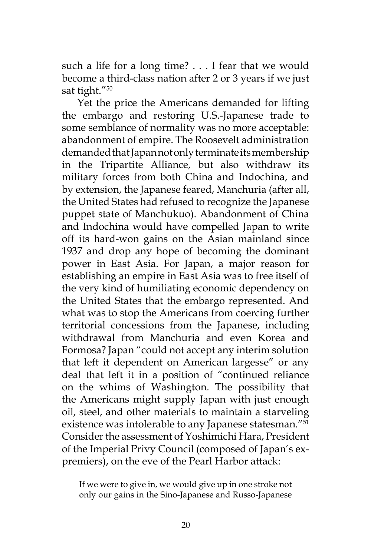such a life for a long time? . . . I fear that we would become a third-class nation after 2 or 3 years if we just sat tight."<sup>50</sup>

Yet the price the Americans demanded for lifting the embargo and restoring U.S.-Japanese trade to some semblance of normality was no more acceptable: abandonment of empire. The Roosevelt administration demanded that Japan not only terminate its membership in the Tripartite Alliance, but also withdraw its military forces from both China and Indochina, and by extension, the Japanese feared, Manchuria (after all, the United States had refused to recognize the Japanese puppet state of Manchukuo). Abandonment of China and Indochina would have compelled Japan to write off its hard-won gains on the Asian mainland since 1937 and drop any hope of becoming the dominant power in East Asia. For Japan, a major reason for establishing an empire in East Asia was to free itself of the very kind of humiliating economic dependency on the United States that the embargo represented. And what was to stop the Americans from coercing further territorial concessions from the Japanese, including withdrawal from Manchuria and even Korea and Formosa? Japan "could not accept any interim solution that left it dependent on American largesse" or any deal that left it in a position of "continued reliance on the whims of Washington. The possibility that the Americans might supply Japan with just enough oil, steel, and other materials to maintain a starveling existence was intolerable to any Japanese statesman."<sup>51</sup> Consider the assessment of Yoshimichi Hara, President of the Imperial Privy Council (composed of Japan's expremiers), on the eve of the Pearl Harbor attack:

If we were to give in, we would give up in one stroke not only our gains in the Sino-Japanese and Russo-Japanese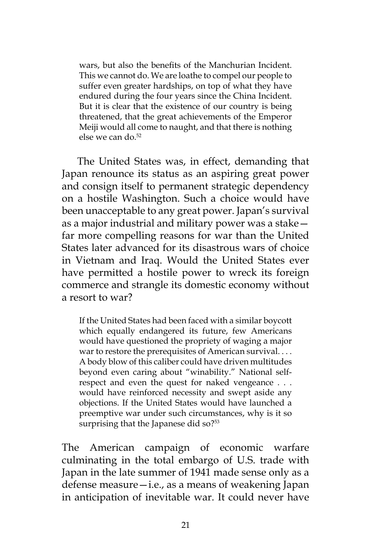wars, but also the benefits of the Manchurian Incident. This we cannot do. We are loathe to compel our people to suffer even greater hardships, on top of what they have endured during the four years since the China Incident. But it is clear that the existence of our country is being threatened, that the great achievements of the Emperor Meiji would all come to naught, and that there is nothing else we can do.52

The United States was, in effect, demanding that Japan renounce its status as an aspiring great power and consign itself to permanent strategic dependency on a hostile Washington. Such a choice would have been unacceptable to any great power. Japan's survival as a major industrial and military power was a stake far more compelling reasons for war than the United States later advanced for its disastrous wars of choice in Vietnam and Iraq. Would the United States ever have permitted a hostile power to wreck its foreign commerce and strangle its domestic economy without a resort to war?

If the United States had been faced with a similar boycott which equally endangered its future, few Americans would have questioned the propriety of waging a major war to restore the prerequisites of American survival. . . . A body blow of this caliber could have driven multitudes beyond even caring about "winability." National selfrespect and even the quest for naked vengeance . . . would have reinforced necessity and swept aside any objections. If the United States would have launched a preemptive war under such circumstances, why is it so surprising that the Japanese did so?<sup>53</sup>

The American campaign of economic warfare culminating in the total embargo of U.S. trade with Japan in the late summer of 1941 made sense only as a defense measure—i.e., as a means of weakening Japan in anticipation of inevitable war. It could never have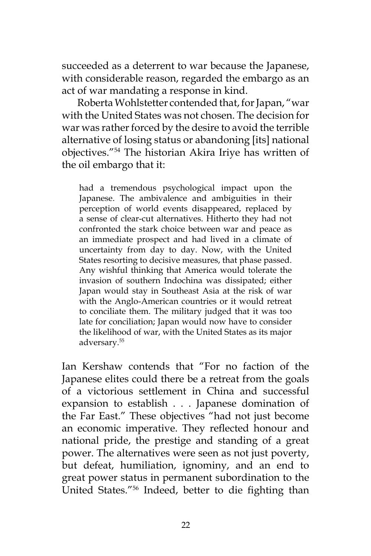succeeded as a deterrent to war because the Japanese, with considerable reason, regarded the embargo as an act of war mandating a response in kind.

Roberta Wohlstetter contended that, for Japan, "war with the United States was not chosen. The decision for war was rather forced by the desire to avoid the terrible alternative of losing status or abandoning [its] national objectives."54 The historian Akira Iriye has written of the oil embargo that it:

had a tremendous psychological impact upon the Japanese. The ambivalence and ambiguities in their perception of world events disappeared, replaced by a sense of clear-cut alternatives. Hitherto they had not confronted the stark choice between war and peace as an immediate prospect and had lived in a climate of uncertainty from day to day. Now, with the United States resorting to decisive measures, that phase passed. Any wishful thinking that America would tolerate the invasion of southern Indochina was dissipated; either Japan would stay in Southeast Asia at the risk of war with the Anglo-American countries or it would retreat to conciliate them. The military judged that it was too late for conciliation; Japan would now have to consider the likelihood of war, with the United States as its major adversary.55

Ian Kershaw contends that "For no faction of the Japanese elites could there be a retreat from the goals of a victorious settlement in China and successful expansion to establish . . . Japanese domination of the Far East." These objectives "had not just become an economic imperative. They reflected honour and national pride, the prestige and standing of a great power. The alternatives were seen as not just poverty, but defeat, humiliation, ignominy, and an end to great power status in permanent subordination to the United States."56 Indeed, better to die fighting than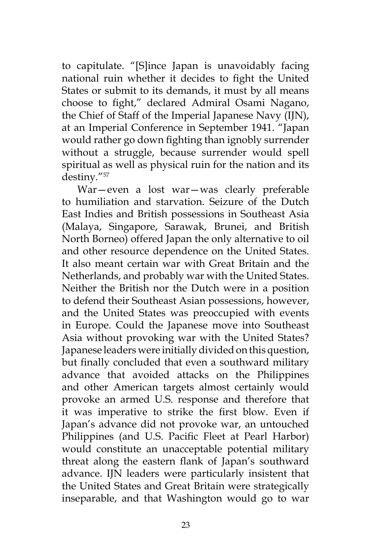to capitulate. "[S]ince Japan is unavoidably facing national ruin whether it decides to fight the United States or submit to its demands, it must by all means choose to fight," declared Admiral Osami Nagano, the Chief of Staff of the Imperial Japanese Navy (IJN), at an Imperial Conference in September 1941. "Japan would rather go down fighting than ignobly surrender without a struggle, because surrender would spell spiritual as well as physical ruin for the nation and its destiny."57

War—even a lost war—was clearly preferable to humiliation and starvation. Seizure of the Dutch East Indies and British possessions in Southeast Asia (Malaya, Singapore, Sarawak, Brunei, and British North Borneo) offered Japan the only alternative to oil and other resource dependence on the United States. It also meant certain war with Great Britain and the Netherlands, and probably war with the United States. Neither the British nor the Dutch were in a position to defend their Southeast Asian possessions, however, and the United States was preoccupied with events in Europe. Could the Japanese move into Southeast Asia without provoking war with the United States? Japanese leaders were initially divided on this question, but finally concluded that even a southward military advance that avoided attacks on the Philippines and other American targets almost certainly would provoke an armed U.S. response and therefore that it was imperative to strike the first blow. Even if Japan's advance did not provoke war, an untouched Philippines (and U.S. Pacific Fleet at Pearl Harbor) would constitute an unacceptable potential military threat along the eastern flank of Japan's southward advance. IJN leaders were particularly insistent that the United States and Great Britain were strategically inseparable, and that Washington would go to war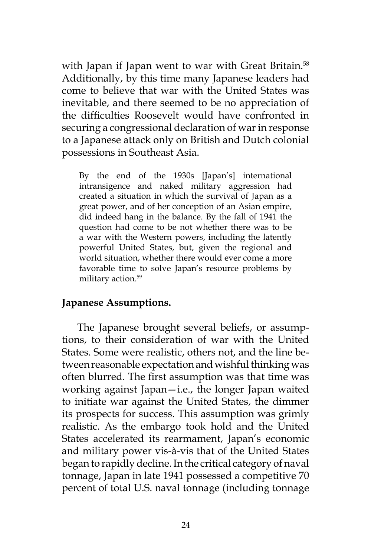with Japan if Japan went to war with Great Britain.<sup>58</sup> Additionally, by this time many Japanese leaders had come to believe that war with the United States was inevitable, and there seemed to be no appreciation of the difficulties Roosevelt would have confronted in securing a congressional declaration of war in response to a Japanese attack only on British and Dutch colonial possessions in Southeast Asia.

By the end of the 1930s [Japan's] international intransigence and naked military aggression had created a situation in which the survival of Japan as a great power, and of her conception of an Asian empire, did indeed hang in the balance. By the fall of 1941 the question had come to be not whether there was to be a war with the Western powers, including the latently powerful United States, but, given the regional and world situation, whether there would ever come a more favorable time to solve Japan's resource problems by military action.<sup>59</sup>

## **Japanese Assumptions.**

The Japanese brought several beliefs, or assumptions, to their consideration of war with the United States. Some were realistic, others not, and the line between reasonable expectation and wishful thinking was often blurred. The first assumption was that time was working against Japan—i.e., the longer Japan waited to initiate war against the United States, the dimmer its prospects for success. This assumption was grimly realistic. As the embargo took hold and the United States accelerated its rearmament, Japan's economic and military power vis-à-vis that of the United States began to rapidly decline. In the critical category of naval tonnage, Japan in late 1941 possessed a competitive 70 percent of total U.S. naval tonnage (including tonnage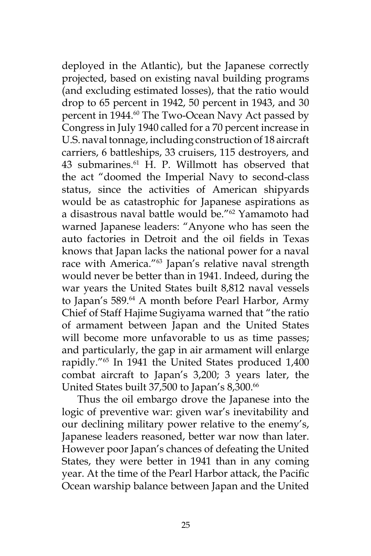deployed in the Atlantic), but the Japanese correctly projected, based on existing naval building programs (and excluding estimated losses), that the ratio would drop to 65 percent in 1942, 50 percent in 1943, and 30 percent in 1944.<sup>60</sup> The Two-Ocean Navy Act passed by Congress in July 1940 called for a 70 percent increase in U.S. naval tonnage, including construction of 18 aircraft carriers, 6 battleships, 33 cruisers, 115 destroyers, and 43 submarines.61 H. P. Willmott has observed that the act "doomed the Imperial Navy to second-class status, since the activities of American shipyards would be as catastrophic for Japanese aspirations as a disastrous naval battle would be."62 Yamamoto had warned Japanese leaders: "Anyone who has seen the auto factories in Detroit and the oil fields in Texas knows that Japan lacks the national power for a naval race with America."<sup>63</sup> Japan's relative naval strength would never be better than in 1941. Indeed, during the war years the United States built 8,812 naval vessels to Japan's 589.<sup>64</sup> A month before Pearl Harbor, Army Chief of Staff Hajime Sugiyama warned that "the ratio of armament between Japan and the United States will become more unfavorable to us as time passes; and particularly, the gap in air armament will enlarge rapidly."65 In 1941 the United States produced 1,400 combat aircraft to Japan's 3,200; 3 years later, the United States built 37,500 to Japan's 8,300.<sup>66</sup>

Thus the oil embargo drove the Japanese into the logic of preventive war: given war's inevitability and our declining military power relative to the enemy's, Japanese leaders reasoned, better war now than later. However poor Japan's chances of defeating the United States, they were better in 1941 than in any coming year. At the time of the Pearl Harbor attack, the Pacific Ocean warship balance between Japan and the United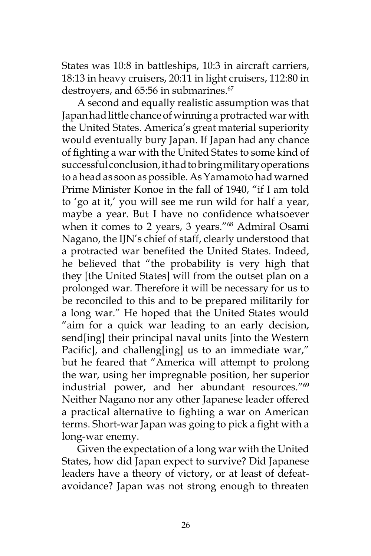States was 10:8 in battleships, 10:3 in aircraft carriers, 18:13 in heavy cruisers, 20:11 in light cruisers, 112:80 in destroyers, and 65:56 in submarines.<sup>67</sup>

A second and equally realistic assumption was that Japan had little chance of winning a protracted war with the United States. America's great material superiority would eventually bury Japan. If Japan had any chance of fighting a war with the United States to some kind of successful conclusion, it had to bring military operations to a head as soon as possible. As Yamamoto had warned Prime Minister Konoe in the fall of 1940, "if I am told to 'go at it,' you will see me run wild for half a year, maybe a year. But I have no confidence whatsoever when it comes to 2 years, 3 years."68 Admiral Osami Nagano, the IJN's chief of staff, clearly understood that a protracted war benefited the United States. Indeed, he believed that "the probability is very high that they [the United States] will from the outset plan on a prolonged war. Therefore it will be necessary for us to be reconciled to this and to be prepared militarily for a long war." He hoped that the United States would "aim for a quick war leading to an early decision, send[ing] their principal naval units [into the Western Pacific], and challeng[ing] us to an immediate war," but he feared that "America will attempt to prolong the war, using her impregnable position, her superior industrial power, and her abundant resources."69 Neither Nagano nor any other Japanese leader offered a practical alternative to fighting a war on American terms. Short-war Japan was going to pick a fight with a long-war enemy.

Given the expectation of a long war with the United States, how did Japan expect to survive? Did Japanese leaders have a theory of victory, or at least of defeatavoidance? Japan was not strong enough to threaten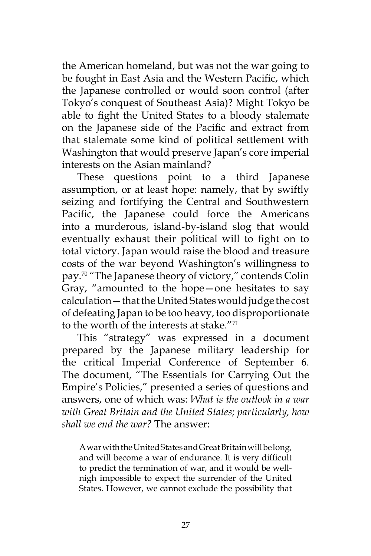the American homeland, but was not the war going to be fought in East Asia and the Western Pacific, which the Japanese controlled or would soon control (after Tokyo's conquest of Southeast Asia)? Might Tokyo be able to fight the United States to a bloody stalemate on the Japanese side of the Pacific and extract from that stalemate some kind of political settlement with Washington that would preserve Japan's core imperial interests on the Asian mainland?

These questions point to a third Japanese assumption, or at least hope: namely, that by swiftly seizing and fortifying the Central and Southwestern Pacific, the Japanese could force the Americans into a murderous, island-by-island slog that would eventually exhaust their political will to fight on to total victory. Japan would raise the blood and treasure costs of the war beyond Washington's willingness to pay.70 "The Japanese theory of victory," contends Colin Gray, "amounted to the hope—one hesitates to say calculation—that the United States would judge the cost of defeating Japan to be too heavy, too disproportionate to the worth of the interests at stake."71

This "strategy" was expressed in a document prepared by the Japanese military leadership for the critical Imperial Conference of September 6. The document, "The Essentials for Carrying Out the Empire's Policies," presented a series of questions and answers, one of which was: *What is the outlook in a war with Great Britain and the United States; particularly, how shall we end the war?* The answer:

A war with the United States and Great Britain will be long, and will become a war of endurance. It is very difficult to predict the termination of war, and it would be wellnigh impossible to expect the surrender of the United States. However, we cannot exclude the possibility that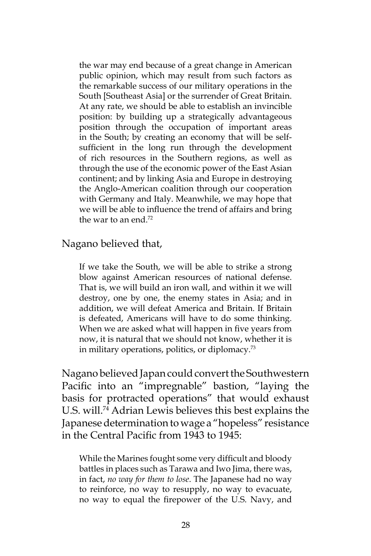the war may end because of a great change in American public opinion, which may result from such factors as the remarkable success of our military operations in the South [Southeast Asia] or the surrender of Great Britain. At any rate, we should be able to establish an invincible position: by building up a strategically advantageous position through the occupation of important areas in the South; by creating an economy that will be selfsufficient in the long run through the development of rich resources in the Southern regions, as well as through the use of the economic power of the East Asian continent; and by linking Asia and Europe in destroying the Anglo-American coalition through our cooperation with Germany and Italy. Meanwhile, we may hope that we will be able to influence the trend of affairs and bring the war to an end.72

Nagano believed that,

If we take the South, we will be able to strike a strong blow against American resources of national defense. That is, we will build an iron wall, and within it we will destroy, one by one, the enemy states in Asia; and in addition, we will defeat America and Britain. If Britain is defeated, Americans will have to do some thinking. When we are asked what will happen in five years from now, it is natural that we should not know, whether it is in military operations, politics, or diplomacy.73

Nagano believed Japan could convert the Southwestern Pacific into an "impregnable" bastion, "laying the basis for protracted operations" that would exhaust U.S. will.74 Adrian Lewis believes this best explains the Japanese determination to wage a "hopeless" resistance in the Central Pacific from 1943 to 1945:

While the Marines fought some very difficult and bloody battles in places such as Tarawa and Iwo Jima, there was, in fact, *no way for them to lose*. The Japanese had no way to reinforce, no way to resupply, no way to evacuate, no way to equal the firepower of the U.S. Navy, and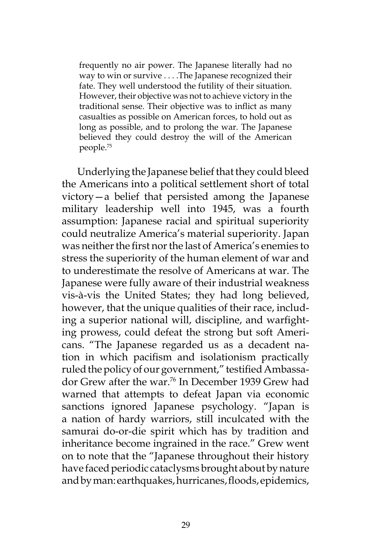frequently no air power. The Japanese literally had no way to win or survive . . . .The Japanese recognized their fate. They well understood the futility of their situation. However, their objective was not to achieve victory in the traditional sense. Their objective was to inflict as many casualties as possible on American forces, to hold out as long as possible, and to prolong the war. The Japanese believed they could destroy the will of the American people.75

Underlying the Japanese belief that they could bleed the Americans into a political settlement short of total victory—a belief that persisted among the Japanese military leadership well into 1945, was a fourth assumption: Japanese racial and spiritual superiority could neutralize America's material superiority. Japan was neither the first nor the last of America's enemies to stress the superiority of the human element of war and to underestimate the resolve of Americans at war. The Japanese were fully aware of their industrial weakness vis-à-vis the United States; they had long believed, however, that the unique qualities of their race, including a superior national will, discipline, and warfighting prowess, could defeat the strong but soft Americans. "The Japanese regarded us as a decadent nation in which pacifism and isolationism practically ruled the policy of our government," testified Ambassador Grew after the war.76 In December 1939 Grew had warned that attempts to defeat Japan via economic sanctions ignored Japanese psychology. "Japan is a nation of hardy warriors, still inculcated with the samurai do-or-die spirit which has by tradition and inheritance become ingrained in the race." Grew went on to note that the "Japanese throughout their history have faced periodic cataclysms brought about by nature and by man: earthquakes, hurricanes, floods, epidemics,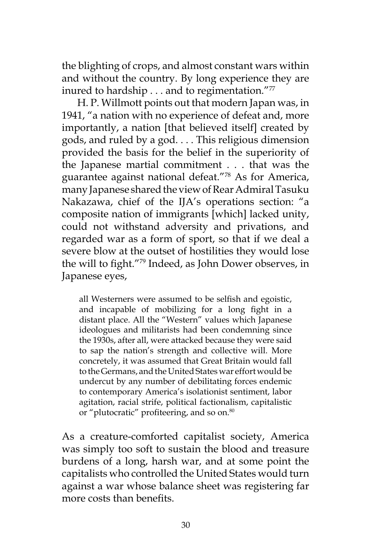the blighting of crops, and almost constant wars within and without the country. By long experience they are inured to hardship . . . and to regimentation."77

H. P. Willmott points out that modern Japan was, in 1941, "a nation with no experience of defeat and, more importantly, a nation [that believed itself] created by gods, and ruled by a god. . . . This religious dimension provided the basis for the belief in the superiority of the Japanese martial commitment . . . that was the guarantee against national defeat."78 As for America, many Japanese shared the view of Rear Admiral Tasuku Nakazawa, chief of the IJA's operations section: "a composite nation of immigrants [which] lacked unity, could not withstand adversity and privations, and regarded war as a form of sport, so that if we deal a severe blow at the outset of hostilities they would lose the will to fight."79 Indeed, as John Dower observes, in Japanese eyes,

all Westerners were assumed to be selfish and egoistic, and incapable of mobilizing for a long fight in a distant place. All the "Western" values which Japanese ideologues and militarists had been condemning since the 1930s, after all, were attacked because they were said to sap the nation's strength and collective will. More concretely, it was assumed that Great Britain would fall to the Germans, and the United States war effort would be undercut by any number of debilitating forces endemic to contemporary America's isolationist sentiment, labor agitation, racial strife, political factionalism, capitalistic or "plutocratic" profiteering, and so on.<sup>80</sup>

As a creature-comforted capitalist society, America was simply too soft to sustain the blood and treasure burdens of a long, harsh war, and at some point the capitalists who controlled the United States would turn against a war whose balance sheet was registering far more costs than benefits.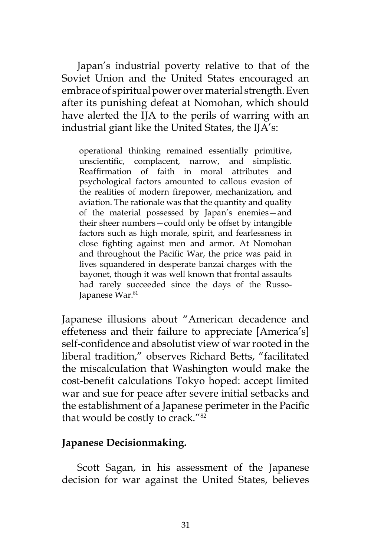Japan's industrial poverty relative to that of the Soviet Union and the United States encouraged an embrace of spiritual power over material strength. Even after its punishing defeat at Nomohan, which should have alerted the IJA to the perils of warring with an industrial giant like the United States, the IJA's:

operational thinking remained essentially primitive, unscientific, complacent, narrow, and simplistic. Reaffirmation of faith in moral attributes and psychological factors amounted to callous evasion of the realities of modern firepower, mechanization, and aviation. The rationale was that the quantity and quality of the material possessed by Japan's enemies—and their sheer numbers—could only be offset by intangible factors such as high morale, spirit, and fearlessness in close fighting against men and armor. At Nomohan and throughout the Pacific War, the price was paid in lives squandered in desperate banzai charges with the bayonet, though it was well known that frontal assaults had rarely succeeded since the days of the Russo-Japanese War.<sup>81</sup>

Japanese illusions about "American decadence and effeteness and their failure to appreciate [America's] self-confidence and absolutist view of war rooted in the liberal tradition," observes Richard Betts, "facilitated the miscalculation that Washington would make the cost-benefit calculations Tokyo hoped: accept limited war and sue for peace after severe initial setbacks and the establishment of a Japanese perimeter in the Pacific that would be costly to crack."82

### **Japanese Decisionmaking.**

Scott Sagan, in his assessment of the Japanese decision for war against the United States, believes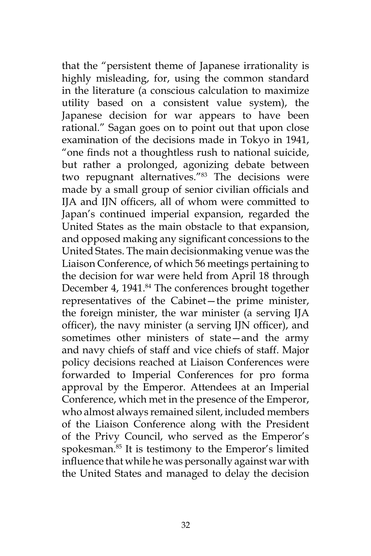that the "persistent theme of Japanese irrationality is highly misleading, for, using the common standard in the literature (a conscious calculation to maximize utility based on a consistent value system), the Japanese decision for war appears to have been rational." Sagan goes on to point out that upon close examination of the decisions made in Tokyo in 1941, "one finds not a thoughtless rush to national suicide, but rather a prolonged, agonizing debate between two repugnant alternatives."<sup>83</sup> The decisions were made by a small group of senior civilian officials and IJA and IJN officers, all of whom were committed to Japan's continued imperial expansion, regarded the United States as the main obstacle to that expansion, and opposed making any significant concessions to the United States. The main decisionmaking venue was the Liaison Conference, of which 56 meetings pertaining to the decision for war were held from April 18 through December 4, 1941.<sup>84</sup> The conferences brought together representatives of the Cabinet—the prime minister, the foreign minister, the war minister (a serving IJA officer), the navy minister (a serving IJN officer), and sometimes other ministers of state—and the army and navy chiefs of staff and vice chiefs of staff. Major policy decisions reached at Liaison Conferences were forwarded to Imperial Conferences for pro forma approval by the Emperor. Attendees at an Imperial Conference, which met in the presence of the Emperor, who almost always remained silent, included members of the Liaison Conference along with the President of the Privy Council, who served as the Emperor's spokesman.<sup>85</sup> It is testimony to the Emperor's limited influence that while he was personally against war with the United States and managed to delay the decision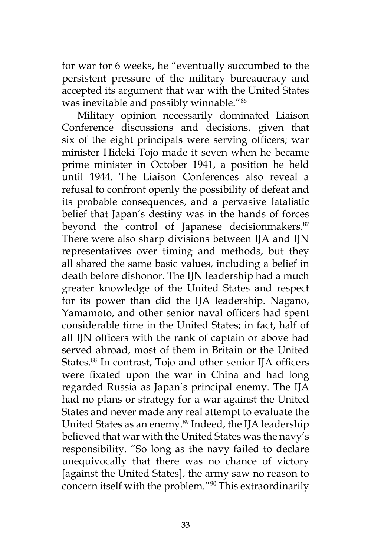for war for 6 weeks, he "eventually succumbed to the persistent pressure of the military bureaucracy and accepted its argument that war with the United States was inevitable and possibly winnable."86

Military opinion necessarily dominated Liaison Conference discussions and decisions, given that six of the eight principals were serving officers; war minister Hideki Tojo made it seven when he became prime minister in October 1941, a position he held until 1944. The Liaison Conferences also reveal a refusal to confront openly the possibility of defeat and its probable consequences, and a pervasive fatalistic belief that Japan's destiny was in the hands of forces beyond the control of Japanese decisionmakers.<sup>87</sup> There were also sharp divisions between IJA and IJN representatives over timing and methods, but they all shared the same basic values, including a belief in death before dishonor. The IJN leadership had a much greater knowledge of the United States and respect for its power than did the IJA leadership. Nagano, Yamamoto, and other senior naval officers had spent considerable time in the United States; in fact, half of all IJN officers with the rank of captain or above had served abroad, most of them in Britain or the United States.88 In contrast, Tojo and other senior IJA officers were fixated upon the war in China and had long regarded Russia as Japan's principal enemy. The IJA had no plans or strategy for a war against the United States and never made any real attempt to evaluate the United States as an enemy.<sup>89</sup> Indeed, the IJA leadership believed that war with the United States was the navy's responsibility. "So long as the navy failed to declare unequivocally that there was no chance of victory [against the United States], the army saw no reason to concern itself with the problem."90 This extraordinarily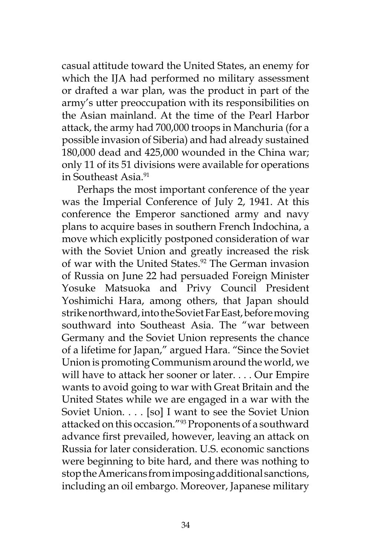casual attitude toward the United States, an enemy for which the IJA had performed no military assessment or drafted a war plan, was the product in part of the army's utter preoccupation with its responsibilities on the Asian mainland. At the time of the Pearl Harbor attack, the army had 700,000 troops in Manchuria (for a possible invasion of Siberia) and had already sustained 180,000 dead and 425,000 wounded in the China war; only 11 of its 51 divisions were available for operations in Southeast Asia.91

Perhaps the most important conference of the year was the Imperial Conference of July 2, 1941. At this conference the Emperor sanctioned army and navy plans to acquire bases in southern French Indochina, a move which explicitly postponed consideration of war with the Soviet Union and greatly increased the risk of war with the United States.<sup>92</sup> The German invasion of Russia on June 22 had persuaded Foreign Minister Yosuke Matsuoka and Privy Council President Yoshimichi Hara, among others, that Japan should strike northward, into the Soviet Far East, before moving southward into Southeast Asia. The "war between Germany and the Soviet Union represents the chance of a lifetime for Japan," argued Hara. "Since the Soviet Union is promoting Communism around the world, we will have to attack her sooner or later. . . . Our Empire wants to avoid going to war with Great Britain and the United States while we are engaged in a war with the Soviet Union. . . . [so] I want to see the Soviet Union attacked on this occasion."<sup>93</sup> Proponents of a southward advance first prevailed, however, leaving an attack on Russia for later consideration. U.S. economic sanctions were beginning to bite hard, and there was nothing to stop the Americans from imposing additional sanctions, including an oil embargo. Moreover, Japanese military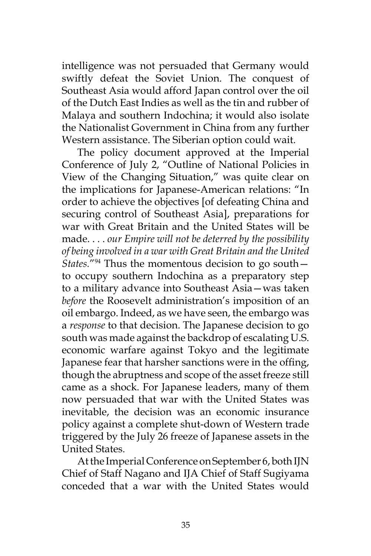intelligence was not persuaded that Germany would swiftly defeat the Soviet Union. The conquest of Southeast Asia would afford Japan control over the oil of the Dutch East Indies as well as the tin and rubber of Malaya and southern Indochina; it would also isolate the Nationalist Government in China from any further Western assistance. The Siberian option could wait.

The policy document approved at the Imperial Conference of July 2, "Outline of National Policies in View of the Changing Situation," was quite clear on the implications for Japanese-American relations: "In order to achieve the objectives [of defeating China and securing control of Southeast Asia], preparations for war with Great Britain and the United States will be made. . . . *our Empire will not be deterred by the possibility of being involved in a war with Great Britain and the United States.*"94 Thus the momentous decision to go south to occupy southern Indochina as a preparatory step to a military advance into Southeast Asia—was taken *before* the Roosevelt administration's imposition of an oil embargo. Indeed, as we have seen, the embargo was a *response* to that decision. The Japanese decision to go south was made against the backdrop of escalating U.S. economic warfare against Tokyo and the legitimate Japanese fear that harsher sanctions were in the offing, though the abruptness and scope of the asset freeze still came as a shock. For Japanese leaders, many of them now persuaded that war with the United States was inevitable, the decision was an economic insurance policy against a complete shut-down of Western trade triggered by the July 26 freeze of Japanese assets in the United States.

At the Imperial Conference on September 6, both IJN Chief of Staff Nagano and IJA Chief of Staff Sugiyama conceded that a war with the United States would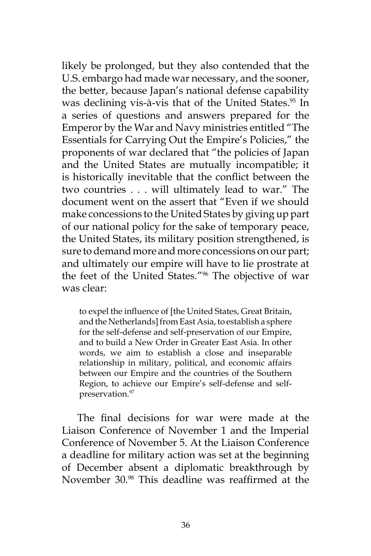likely be prolonged, but they also contended that the U.S. embargo had made war necessary, and the sooner, the better, because Japan's national defense capability was declining vis-à-vis that of the United States.<sup>95</sup> In a series of questions and answers prepared for the Emperor by the War and Navy ministries entitled "The Essentials for Carrying Out the Empire's Policies," the proponents of war declared that "the policies of Japan and the United States are mutually incompatible; it is historically inevitable that the conflict between the two countries . . . will ultimately lead to war." The document went on the assert that "Even if we should make concessions to the United States by giving up part of our national policy for the sake of temporary peace, the United States, its military position strengthened, is sure to demand more and more concessions on our part; and ultimately our empire will have to lie prostrate at the feet of the United States."96 The objective of war was clear:

to expel the influence of [the United States, Great Britain, and the Netherlands] from East Asia, to establish a sphere for the self-defense and self-preservation of our Empire, and to build a New Order in Greater East Asia. In other words, we aim to establish a close and inseparable relationship in military, political, and economic affairs between our Empire and the countries of the Southern Region, to achieve our Empire's self-defense and selfpreservation.<sup>97</sup>

The final decisions for war were made at the Liaison Conference of November 1 and the Imperial Conference of November 5. At the Liaison Conference a deadline for military action was set at the beginning of December absent a diplomatic breakthrough by November 30.98 This deadline was reaffirmed at the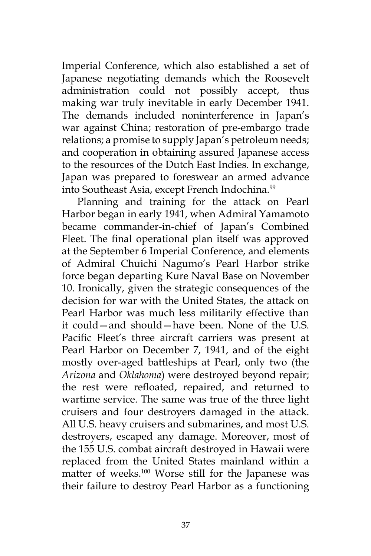Imperial Conference, which also established a set of Japanese negotiating demands which the Roosevelt administration could not possibly accept, thus making war truly inevitable in early December 1941. The demands included noninterference in Japan's war against China; restoration of pre-embargo trade relations; a promise to supply Japan's petroleum needs; and cooperation in obtaining assured Japanese access to the resources of the Dutch East Indies. In exchange, Japan was prepared to foreswear an armed advance into Southeast Asia, except French Indochina.<sup>99</sup>

Planning and training for the attack on Pearl Harbor began in early 1941, when Admiral Yamamoto became commander-in-chief of Japan's Combined Fleet. The final operational plan itself was approved at the September 6 Imperial Conference, and elements of Admiral Chuichi Nagumo's Pearl Harbor strike force began departing Kure Naval Base on November 10. Ironically, given the strategic consequences of the decision for war with the United States, the attack on Pearl Harbor was much less militarily effective than it could—and should—have been. None of the U.S. Pacific Fleet's three aircraft carriers was present at Pearl Harbor on December 7, 1941, and of the eight mostly over-aged battleships at Pearl, only two (the *Arizona* and *Oklahoma*) were destroyed beyond repair; the rest were refloated, repaired, and returned to wartime service. The same was true of the three light cruisers and four destroyers damaged in the attack. All U.S. heavy cruisers and submarines, and most U.S. destroyers, escaped any damage. Moreover, most of the 155 U.S. combat aircraft destroyed in Hawaii were replaced from the United States mainland within a matter of weeks.100 Worse still for the Japanese was their failure to destroy Pearl Harbor as a functioning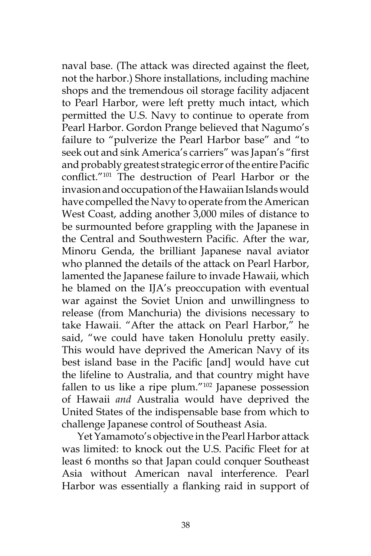naval base. (The attack was directed against the fleet, not the harbor.) Shore installations, including machine shops and the tremendous oil storage facility adjacent to Pearl Harbor, were left pretty much intact, which permitted the U.S. Navy to continue to operate from Pearl Harbor. Gordon Prange believed that Nagumo's failure to "pulverize the Pearl Harbor base" and "to seek out and sink America's carriers" was Japan's "first and probably greatest strategic error of the entire Pacific conflict."101 The destruction of Pearl Harbor or the invasion and occupation of the Hawaiian Islands would have compelled the Navy to operate from the American West Coast, adding another 3,000 miles of distance to be surmounted before grappling with the Japanese in the Central and Southwestern Pacific. After the war, Minoru Genda, the brilliant Japanese naval aviator who planned the details of the attack on Pearl Harbor, lamented the Japanese failure to invade Hawaii, which he blamed on the IJA's preoccupation with eventual war against the Soviet Union and unwillingness to release (from Manchuria) the divisions necessary to take Hawaii. "After the attack on Pearl Harbor," he said, "we could have taken Honolulu pretty easily. This would have deprived the American Navy of its best island base in the Pacific [and] would have cut the lifeline to Australia, and that country might have fallen to us like a ripe plum."102 Japanese possession of Hawaii *and* Australia would have deprived the United States of the indispensable base from which to challenge Japanese control of Southeast Asia.

Yet Yamamoto's objective in the Pearl Harbor attack was limited: to knock out the U.S. Pacific Fleet for at least 6 months so that Japan could conquer Southeast Asia without American naval interference. Pearl Harbor was essentially a flanking raid in support of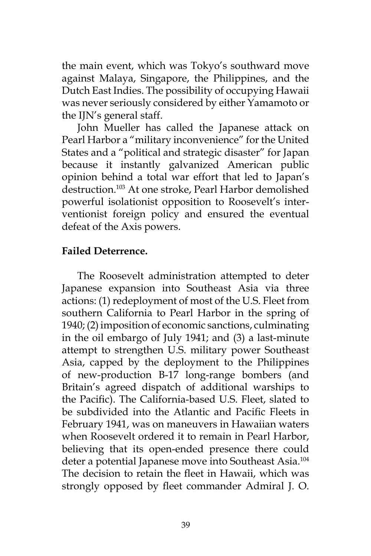the main event, which was Tokyo's southward move against Malaya, Singapore, the Philippines, and the Dutch East Indies. The possibility of occupying Hawaii was never seriously considered by either Yamamoto or the IJN's general staff.

John Mueller has called the Japanese attack on Pearl Harbor a "military inconvenience" for the United States and a "political and strategic disaster" for Japan because it instantly galvanized American public opinion behind a total war effort that led to Japan's destruction.103 At one stroke, Pearl Harbor demolished powerful isolationist opposition to Roosevelt's interventionist foreign policy and ensured the eventual defeat of the Axis powers.

# **Failed Deterrence.**

The Roosevelt administration attempted to deter Japanese expansion into Southeast Asia via three actions: (1) redeployment of most of the U.S. Fleet from southern California to Pearl Harbor in the spring of 1940; (2) imposition of economic sanctions, culminating in the oil embargo of July 1941; and (3) a last-minute attempt to strengthen U.S. military power Southeast Asia, capped by the deployment to the Philippines of new-production B-17 long-range bombers (and Britain's agreed dispatch of additional warships to the Pacific). The California-based U.S. Fleet, slated to be subdivided into the Atlantic and Pacific Fleets in February 1941, was on maneuvers in Hawaiian waters when Roosevelt ordered it to remain in Pearl Harbor, believing that its open-ended presence there could deter a potential Japanese move into Southeast Asia.<sup>104</sup> The decision to retain the fleet in Hawaii, which was strongly opposed by fleet commander Admiral J. O.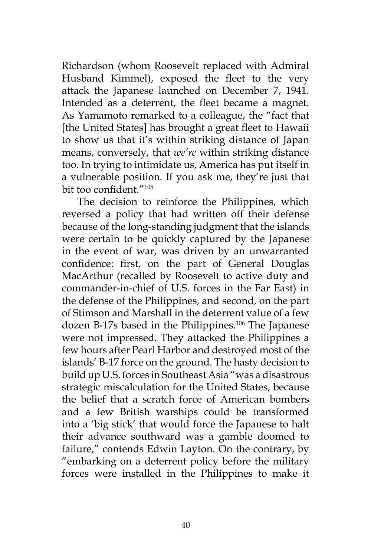Richardson (whom Roosevelt replaced with Admiral Husband Kimmel), exposed the fleet to the very attack the Japanese launched on December 7, 1941. Intended as a deterrent, the fleet became a magnet. As Yamamoto remarked to a colleague, the "fact that [the United States] has brought a great fleet to Hawaii to show us that it's within striking distance of Japan means, conversely, that *we're* within striking distance too. In trying to intimidate us, America has put itself in a vulnerable position. If you ask me, they're just that bit too confident."<sup>105</sup>

The decision to reinforce the Philippines, which reversed a policy that had written off their defense because of the long-standing judgment that the islands were certain to be quickly captured by the Japanese in the event of war, was driven by an unwarranted confidence: first, on the part of General Douglas MacArthur (recalled by Roosevelt to active duty and commander-in-chief of U.S. forces in the Far East) in the defense of the Philippines, and second, on the part of Stimson and Marshall in the deterrent value of a few dozen B-17s based in the Philippines.<sup>106</sup> The Japanese were not impressed. They attacked the Philippines a few hours after Pearl Harbor and destroyed most of the islands' B-17 force on the ground. The hasty decision to build up U.S. forces in Southeast Asia "was a disastrous strategic miscalculation for the United States, because the belief that a scratch force of American bombers and a few British warships could be transformed into a 'big stick' that would force the Japanese to halt their advance southward was a gamble doomed to failure," contends Edwin Layton. On the contrary, by "embarking on a deterrent policy before the military forces were installed in the Philippines to make it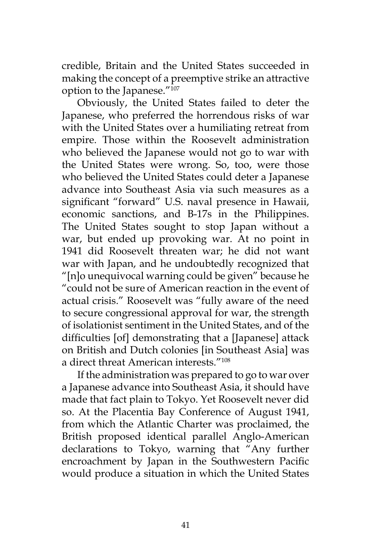credible, Britain and the United States succeeded in making the concept of a preemptive strike an attractive option to the Japanese."107

Obviously, the United States failed to deter the Japanese, who preferred the horrendous risks of war with the United States over a humiliating retreat from empire. Those within the Roosevelt administration who believed the Japanese would not go to war with the United States were wrong. So, too, were those who believed the United States could deter a Japanese advance into Southeast Asia via such measures as a significant "forward" U.S. naval presence in Hawaii, economic sanctions, and B-17s in the Philippines. The United States sought to stop Japan without a war, but ended up provoking war. At no point in 1941 did Roosevelt threaten war; he did not want war with Japan, and he undoubtedly recognized that "[n]o unequivocal warning could be given" because he "could not be sure of American reaction in the event of actual crisis." Roosevelt was "fully aware of the need to secure congressional approval for war, the strength of isolationist sentiment in the United States, and of the difficulties [of] demonstrating that a [Japanese] attack on British and Dutch colonies [in Southeast Asia] was a direct threat American interests."108

If the administration was prepared to go to war over a Japanese advance into Southeast Asia, it should have made that fact plain to Tokyo. Yet Roosevelt never did so. At the Placentia Bay Conference of August 1941, from which the Atlantic Charter was proclaimed, the British proposed identical parallel Anglo-American declarations to Tokyo, warning that "Any further encroachment by Japan in the Southwestern Pacific would produce a situation in which the United States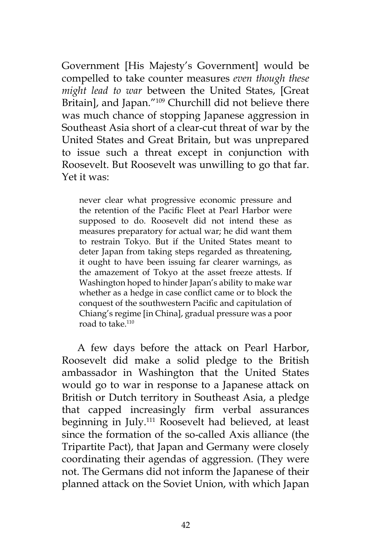Government [His Majesty's Government] would be compelled to take counter measures *even though these might lead to war* between the United States, [Great Britain], and Japan."<sup>109</sup> Churchill did not believe there was much chance of stopping Japanese aggression in Southeast Asia short of a clear-cut threat of war by the United States and Great Britain, but was unprepared to issue such a threat except in conjunction with Roosevelt. But Roosevelt was unwilling to go that far. Yet it was:

never clear what progressive economic pressure and the retention of the Pacific Fleet at Pearl Harbor were supposed to do. Roosevelt did not intend these as measures preparatory for actual war; he did want them to restrain Tokyo. But if the United States meant to deter Japan from taking steps regarded as threatening, it ought to have been issuing far clearer warnings, as the amazement of Tokyo at the asset freeze attests. If Washington hoped to hinder Japan's ability to make war whether as a hedge in case conflict came or to block the conquest of the southwestern Pacific and capitulation of Chiang's regime [in China], gradual pressure was a poor road to take.<sup>110</sup>

A few days before the attack on Pearl Harbor, Roosevelt did make a solid pledge to the British ambassador in Washington that the United States would go to war in response to a Japanese attack on British or Dutch territory in Southeast Asia, a pledge that capped increasingly firm verbal assurances beginning in July.111 Roosevelt had believed, at least since the formation of the so-called Axis alliance (the Tripartite Pact), that Japan and Germany were closely coordinating their agendas of aggression. (They were not. The Germans did not inform the Japanese of their planned attack on the Soviet Union, with which Japan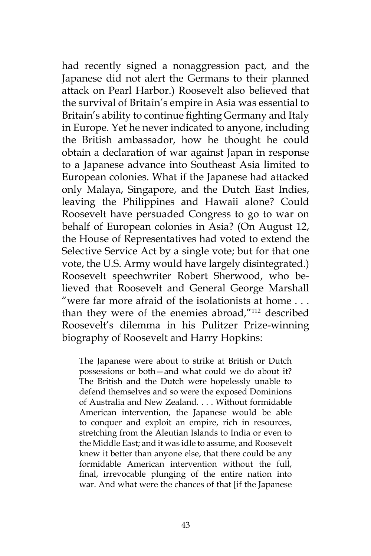had recently signed a nonaggression pact, and the Japanese did not alert the Germans to their planned attack on Pearl Harbor.) Roosevelt also believed that the survival of Britain's empire in Asia was essential to Britain's ability to continue fighting Germany and Italy in Europe. Yet he never indicated to anyone, including the British ambassador, how he thought he could obtain a declaration of war against Japan in response to a Japanese advance into Southeast Asia limited to European colonies. What if the Japanese had attacked only Malaya, Singapore, and the Dutch East Indies, leaving the Philippines and Hawaii alone? Could Roosevelt have persuaded Congress to go to war on behalf of European colonies in Asia? (On August 12, the House of Representatives had voted to extend the Selective Service Act by a single vote; but for that one vote, the U.S. Army would have largely disintegrated.) Roosevelt speechwriter Robert Sherwood, who believed that Roosevelt and General George Marshall "were far more afraid of the isolationists at home . . . than they were of the enemies abroad,"112 described Roosevelt's dilemma in his Pulitzer Prize-winning biography of Roosevelt and Harry Hopkins:

The Japanese were about to strike at British or Dutch possessions or both—and what could we do about it? The British and the Dutch were hopelessly unable to defend themselves and so were the exposed Dominions of Australia and New Zealand. . . . Without formidable American intervention, the Japanese would be able to conquer and exploit an empire, rich in resources, stretching from the Aleutian Islands to India or even to the Middle East; and it was idle to assume, and Roosevelt knew it better than anyone else, that there could be any formidable American intervention without the full, final, irrevocable plunging of the entire nation into war. And what were the chances of that [if the Japanese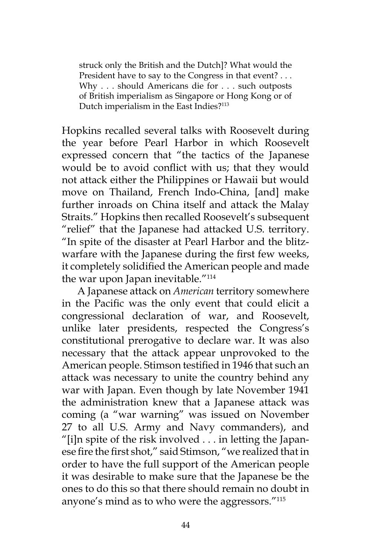struck only the British and the Dutch]? What would the President have to say to the Congress in that event? . . . Why . . . should Americans die for . . . such outposts of British imperialism as Singapore or Hong Kong or of Dutch imperialism in the East Indies?<sup>113</sup>

Hopkins recalled several talks with Roosevelt during the year before Pearl Harbor in which Roosevelt expressed concern that "the tactics of the Japanese would be to avoid conflict with us; that they would not attack either the Philippines or Hawaii but would move on Thailand, French Indo-China, [and] make further inroads on China itself and attack the Malay Straits." Hopkins then recalled Roosevelt's subsequent "relief" that the Japanese had attacked U.S. territory. "In spite of the disaster at Pearl Harbor and the blitzwarfare with the Japanese during the first few weeks, it completely solidified the American people and made the war upon Japan inevitable."<sup>114</sup>

A Japanese attack on *American* territory somewhere in the Pacific was the only event that could elicit a congressional declaration of war, and Roosevelt, unlike later presidents, respected the Congress's constitutional prerogative to declare war. It was also necessary that the attack appear unprovoked to the American people. Stimson testified in 1946 that such an attack was necessary to unite the country behind any war with Japan. Even though by late November 1941 the administration knew that a Japanese attack was coming (a "war warning" was issued on November 27 to all U.S. Army and Navy commanders), and "[i]n spite of the risk involved . . . in letting the Japanese fire the first shot," said Stimson, "we realized that in order to have the full support of the American people it was desirable to make sure that the Japanese be the ones to do this so that there should remain no doubt in anyone's mind as to who were the aggressors."115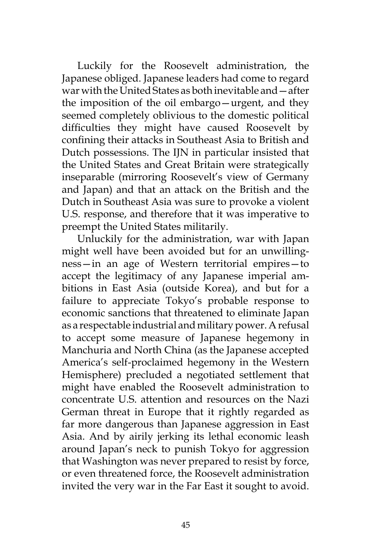Luckily for the Roosevelt administration, the Japanese obliged. Japanese leaders had come to regard war with the United States as both inevitable and—after the imposition of the oil embargo—urgent, and they seemed completely oblivious to the domestic political difficulties they might have caused Roosevelt by confining their attacks in Southeast Asia to British and Dutch possessions. The IJN in particular insisted that the United States and Great Britain were strategically inseparable (mirroring Roosevelt's view of Germany and Japan) and that an attack on the British and the Dutch in Southeast Asia was sure to provoke a violent U.S. response, and therefore that it was imperative to preempt the United States militarily.

Unluckily for the administration, war with Japan might well have been avoided but for an unwillingness—in an age of Western territorial empires—to accept the legitimacy of any Japanese imperial ambitions in East Asia (outside Korea), and but for a failure to appreciate Tokyo's probable response to economic sanctions that threatened to eliminate Japan as a respectable industrial and military power. A refusal to accept some measure of Japanese hegemony in Manchuria and North China (as the Japanese accepted America's self-proclaimed hegemony in the Western Hemisphere) precluded a negotiated settlement that might have enabled the Roosevelt administration to concentrate U.S. attention and resources on the Nazi German threat in Europe that it rightly regarded as far more dangerous than Japanese aggression in East Asia. And by airily jerking its lethal economic leash around Japan's neck to punish Tokyo for aggression that Washington was never prepared to resist by force, or even threatened force, the Roosevelt administration invited the very war in the Far East it sought to avoid.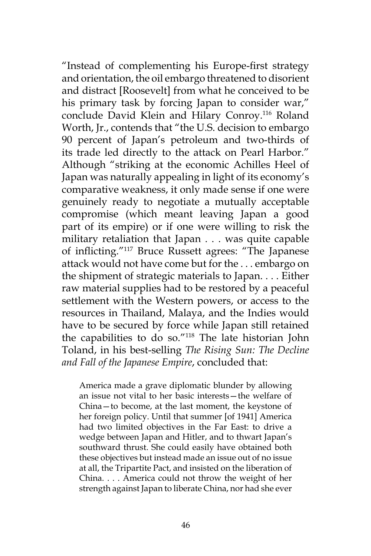"Instead of complementing his Europe-first strategy and orientation, the oil embargo threatened to disorient and distract [Roosevelt] from what he conceived to be his primary task by forcing Japan to consider war," conclude David Klein and Hilary Conroy.116 Roland Worth, Jr., contends that "the U.S. decision to embargo 90 percent of Japan's petroleum and two-thirds of its trade led directly to the attack on Pearl Harbor." Although "striking at the economic Achilles Heel of Japan was naturally appealing in light of its economy's comparative weakness, it only made sense if one were genuinely ready to negotiate a mutually acceptable compromise (which meant leaving Japan a good part of its empire) or if one were willing to risk the military retaliation that Japan . . . was quite capable of inflicting."117 Bruce Russett agrees: "The Japanese attack would not have come but for the . . . embargo on the shipment of strategic materials to Japan. . . . Either raw material supplies had to be restored by a peaceful settlement with the Western powers, or access to the resources in Thailand, Malaya, and the Indies would have to be secured by force while Japan still retained the capabilities to do so."118 The late historian John Toland, in his best-selling *The Rising Sun: The Decline and Fall of the Japanese Empire*, concluded that:

America made a grave diplomatic blunder by allowing an issue not vital to her basic interests—the welfare of China—to become, at the last moment, the keystone of her foreign policy. Until that summer [of 1941] America had two limited objectives in the Far East: to drive a wedge between Japan and Hitler, and to thwart Japan's southward thrust. She could easily have obtained both these objectives but instead made an issue out of no issue at all, the Tripartite Pact, and insisted on the liberation of China. . . . America could not throw the weight of her strength against Japan to liberate China, nor had she ever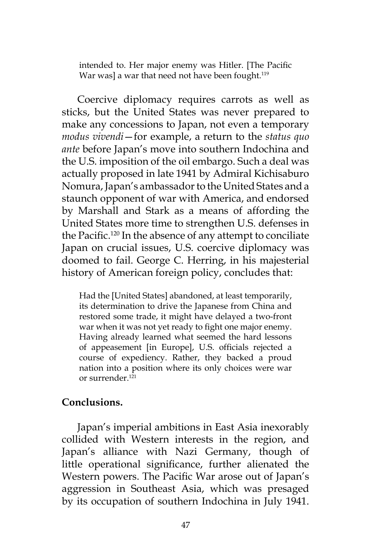intended to. Her major enemy was Hitler. [The Pacific War was] a war that need not have been fought.<sup>119</sup>

Coercive diplomacy requires carrots as well as sticks, but the United States was never prepared to make any concessions to Japan, not even a temporary *modus vivendi*—for example, a return to the *status quo ante* before Japan's move into southern Indochina and the U.S. imposition of the oil embargo. Such a deal was actually proposed in late 1941 by Admiral Kichisaburo Nomura, Japan's ambassador to the United States and a staunch opponent of war with America, and endorsed by Marshall and Stark as a means of affording the United States more time to strengthen U.S. defenses in the Pacific.120 In the absence of any attempt to conciliate Japan on crucial issues, U.S. coercive diplomacy was doomed to fail. George C. Herring, in his majesterial history of American foreign policy, concludes that:

Had the [United States] abandoned, at least temporarily, its determination to drive the Japanese from China and restored some trade, it might have delayed a two-front war when it was not yet ready to fight one major enemy. Having already learned what seemed the hard lessons of appeasement [in Europe], U.S. officials rejected a course of expediency. Rather, they backed a proud nation into a position where its only choices were war or surrender.121

# **Conclusions.**

Japan's imperial ambitions in East Asia inexorably collided with Western interests in the region, and Japan's alliance with Nazi Germany, though of little operational significance, further alienated the Western powers. The Pacific War arose out of Japan's aggression in Southeast Asia, which was presaged by its occupation of southern Indochina in July 1941.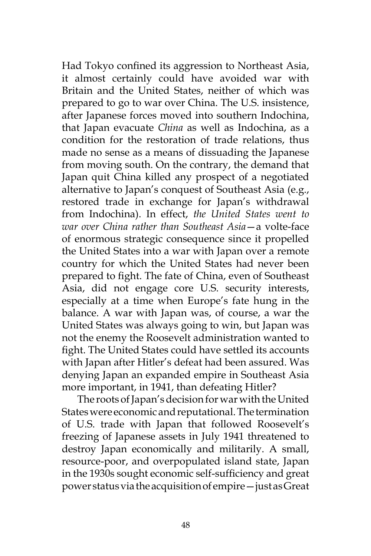Had Tokyo confined its aggression to Northeast Asia, it almost certainly could have avoided war with Britain and the United States, neither of which was prepared to go to war over China. The U.S. insistence, after Japanese forces moved into southern Indochina, that Japan evacuate *China* as well as Indochina, as a condition for the restoration of trade relations, thus made no sense as a means of dissuading the Japanese from moving south. On the contrary, the demand that Japan quit China killed any prospect of a negotiated alternative to Japan's conquest of Southeast Asia (e.g., restored trade in exchange for Japan's withdrawal from Indochina). In effect, *the United States went to war over China rather than Southeast Asia*—a volte-face of enormous strategic consequence since it propelled the United States into a war with Japan over a remote country for which the United States had never been prepared to fight. The fate of China, even of Southeast Asia, did not engage core U.S. security interests, especially at a time when Europe's fate hung in the balance. A war with Japan was, of course, a war the United States was always going to win, but Japan was not the enemy the Roosevelt administration wanted to fight. The United States could have settled its accounts with Japan after Hitler's defeat had been assured. Was denying Japan an expanded empire in Southeast Asia more important, in 1941, than defeating Hitler?

The roots of Japan's decision for war with the United States were economic and reputational. The termination of U.S. trade with Japan that followed Roosevelt's freezing of Japanese assets in July 1941 threatened to destroy Japan economically and militarily. A small, resource-poor, and overpopulated island state, Japan in the 1930s sought economic self-sufficiency and great power status via the acquisition of empire—just as Great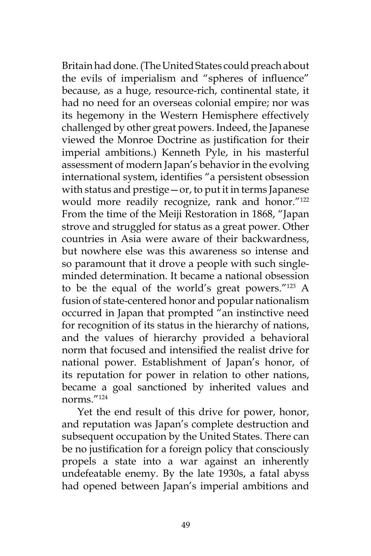Britain had done. (The United States could preach about the evils of imperialism and "spheres of influence" because, as a huge, resource-rich, continental state, it had no need for an overseas colonial empire; nor was its hegemony in the Western Hemisphere effectively challenged by other great powers. Indeed, the Japanese viewed the Monroe Doctrine as justification for their imperial ambitions.) Kenneth Pyle, in his masterful assessment of modern Japan's behavior in the evolving international system, identifies "a persistent obsession with status and prestige—or, to put it in terms Japanese would more readily recognize, rank and honor."122 From the time of the Meiji Restoration in 1868, "Japan strove and struggled for status as a great power. Other countries in Asia were aware of their backwardness, but nowhere else was this awareness so intense and so paramount that it drove a people with such singleminded determination. It became a national obsession to be the equal of the world's great powers."123 A fusion of state-centered honor and popular nationalism occurred in Japan that prompted "an instinctive need for recognition of its status in the hierarchy of nations, and the values of hierarchy provided a behavioral norm that focused and intensified the realist drive for national power. Establishment of Japan's honor, of its reputation for power in relation to other nations, became a goal sanctioned by inherited values and norms."124

Yet the end result of this drive for power, honor, and reputation was Japan's complete destruction and subsequent occupation by the United States. There can be no justification for a foreign policy that consciously propels a state into a war against an inherently undefeatable enemy. By the late 1930s, a fatal abyss had opened between Japan's imperial ambitions and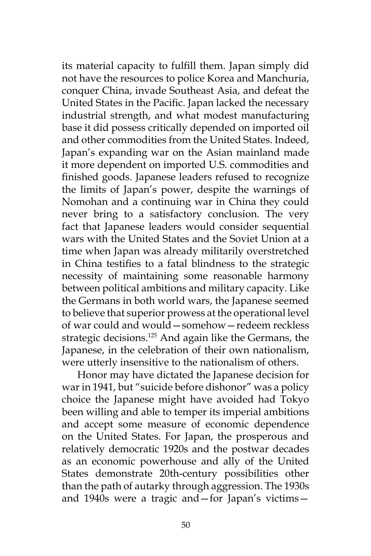its material capacity to fulfill them. Japan simply did not have the resources to police Korea and Manchuria, conquer China, invade Southeast Asia, and defeat the United States in the Pacific. Japan lacked the necessary industrial strength, and what modest manufacturing base it did possess critically depended on imported oil and other commodities from the United States. Indeed, Japan's expanding war on the Asian mainland made it more dependent on imported U.S. commodities and finished goods. Japanese leaders refused to recognize the limits of Japan's power, despite the warnings of Nomohan and a continuing war in China they could never bring to a satisfactory conclusion. The very fact that Japanese leaders would consider sequential wars with the United States and the Soviet Union at a time when Japan was already militarily overstretched in China testifies to a fatal blindness to the strategic necessity of maintaining some reasonable harmony between political ambitions and military capacity. Like the Germans in both world wars, the Japanese seemed to believe that superior prowess at the operational level of war could and would—somehow—redeem reckless strategic decisions.<sup>125</sup> And again like the Germans, the Japanese, in the celebration of their own nationalism, were utterly insensitive to the nationalism of others.

Honor may have dictated the Japanese decision for war in 1941, but "suicide before dishonor" was a policy choice the Japanese might have avoided had Tokyo been willing and able to temper its imperial ambitions and accept some measure of economic dependence on the United States. For Japan, the prosperous and relatively democratic 1920s and the postwar decades as an economic powerhouse and ally of the United States demonstrate 20th-century possibilities other than the path of autarky through aggression. The 1930s and 1940s were a tragic and—for Japan's victims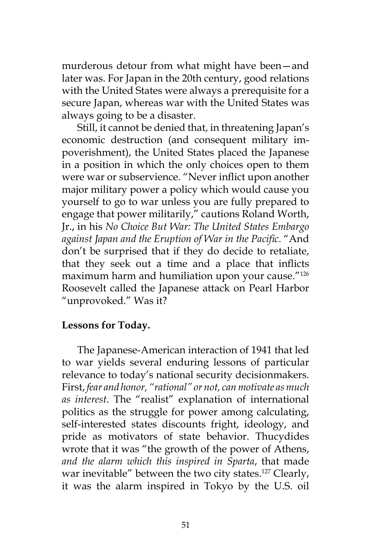murderous detour from what might have been—and later was. For Japan in the 20th century, good relations with the United States were always a prerequisite for a secure Japan, whereas war with the United States was always going to be a disaster.

Still, it cannot be denied that, in threatening Japan's economic destruction (and consequent military impoverishment), the United States placed the Japanese in a position in which the only choices open to them were war or subservience. "Never inflict upon another major military power a policy which would cause you yourself to go to war unless you are fully prepared to engage that power militarily," cautions Roland Worth, Jr., in his *No Choice But War: The United States Embargo against Japan and the Eruption of War in the Pacific*. "And don't be surprised that if they do decide to retaliate, that they seek out a time and a place that inflicts maximum harm and humiliation upon your cause."126 Roosevelt called the Japanese attack on Pearl Harbor "unprovoked." Was it?

# **Lessons for Today.**

The Japanese-American interaction of 1941 that led to war yields several enduring lessons of particular relevance to today's national security decisionmakers. First, *fear and honor, "rational" or not, can motivate as much as interest*. The "realist" explanation of international politics as the struggle for power among calculating, self-interested states discounts fright, ideology, and pride as motivators of state behavior. Thucydides wrote that it was "the growth of the power of Athens, *and the alarm which this inspired in Sparta*, that made war inevitable" between the two city states.<sup>127</sup> Clearly, it was the alarm inspired in Tokyo by the U.S. oil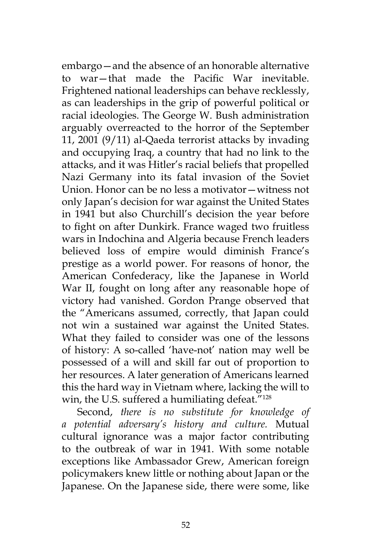embargo—and the absence of an honorable alternative to war—that made the Pacific War inevitable. Frightened national leaderships can behave recklessly, as can leaderships in the grip of powerful political or racial ideologies. The George W. Bush administration arguably overreacted to the horror of the September 11, 2001 (9/11) al-Qaeda terrorist attacks by invading and occupying Iraq, a country that had no link to the attacks, and it was Hitler's racial beliefs that propelled Nazi Germany into its fatal invasion of the Soviet Union. Honor can be no less a motivator—witness not only Japan's decision for war against the United States in 1941 but also Churchill's decision the year before to fight on after Dunkirk. France waged two fruitless wars in Indochina and Algeria because French leaders believed loss of empire would diminish France's prestige as a world power. For reasons of honor, the American Confederacy, like the Japanese in World War II, fought on long after any reasonable hope of victory had vanished. Gordon Prange observed that the "Americans assumed, correctly, that Japan could not win a sustained war against the United States. What they failed to consider was one of the lessons of history: A so-called 'have-not' nation may well be possessed of a will and skill far out of proportion to her resources. A later generation of Americans learned this the hard way in Vietnam where, lacking the will to win, the U.S. suffered a humiliating defeat."<sup>128</sup>

Second, *there is no substitute for knowledge of a potential adversary's history and culture.* Mutual cultural ignorance was a major factor contributing to the outbreak of war in 1941. With some notable exceptions like Ambassador Grew, American foreign policymakers knew little or nothing about Japan or the Japanese. On the Japanese side, there were some, like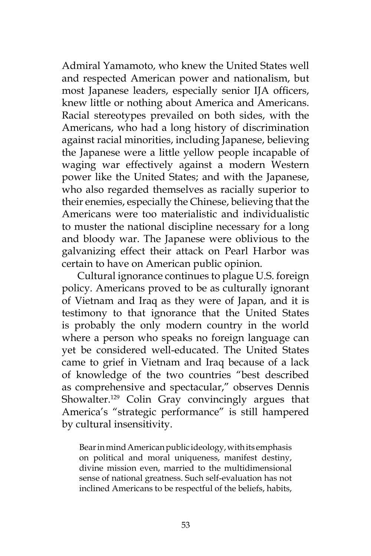Admiral Yamamoto, who knew the United States well and respected American power and nationalism, but most Japanese leaders, especially senior IJA officers, knew little or nothing about America and Americans. Racial stereotypes prevailed on both sides, with the Americans, who had a long history of discrimination against racial minorities, including Japanese, believing the Japanese were a little yellow people incapable of waging war effectively against a modern Western power like the United States; and with the Japanese, who also regarded themselves as racially superior to their enemies, especially the Chinese, believing that the Americans were too materialistic and individualistic to muster the national discipline necessary for a long and bloody war. The Japanese were oblivious to the galvanizing effect their attack on Pearl Harbor was certain to have on American public opinion.

Cultural ignorance continues to plague U.S. foreign policy. Americans proved to be as culturally ignorant of Vietnam and Iraq as they were of Japan, and it is testimony to that ignorance that the United States is probably the only modern country in the world where a person who speaks no foreign language can yet be considered well-educated. The United States came to grief in Vietnam and Iraq because of a lack of knowledge of the two countries "best described as comprehensive and spectacular," observes Dennis Showalter.<sup>129</sup> Colin Gray convincingly argues that America's "strategic performance" is still hampered by cultural insensitivity.

Bear in mind American public ideology, with its emphasis on political and moral uniqueness, manifest destiny, divine mission even, married to the multidimensional sense of national greatness. Such self-evaluation has not inclined Americans to be respectful of the beliefs, habits,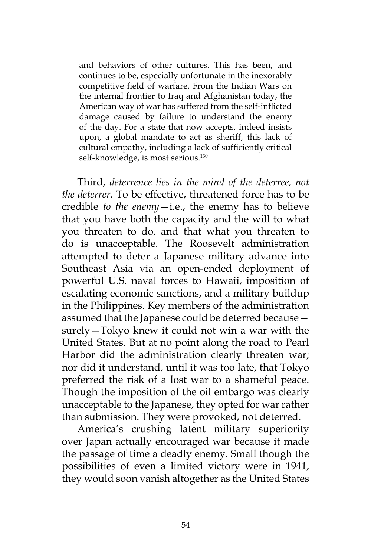and behaviors of other cultures. This has been, and continues to be, especially unfortunate in the inexorably competitive field of warfare. From the Indian Wars on the internal frontier to Iraq and Afghanistan today, the American way of war has suffered from the self-inflicted damage caused by failure to understand the enemy of the day. For a state that now accepts, indeed insists upon, a global mandate to act as sheriff, this lack of cultural empathy, including a lack of sufficiently critical self-knowledge, is most serious.<sup>130</sup>

Third, *deterrence lies in the mind of the deterree, not the deterrer*. To be effective, threatened force has to be credible *to the enemy*—i.e., the enemy has to believe that you have both the capacity and the will to what you threaten to do, and that what you threaten to do is unacceptable. The Roosevelt administration attempted to deter a Japanese military advance into Southeast Asia via an open-ended deployment of powerful U.S. naval forces to Hawaii, imposition of escalating economic sanctions, and a military buildup in the Philippines. Key members of the administration assumed that the Japanese could be deterred because surely—Tokyo knew it could not win a war with the United States. But at no point along the road to Pearl Harbor did the administration clearly threaten war; nor did it understand, until it was too late, that Tokyo preferred the risk of a lost war to a shameful peace. Though the imposition of the oil embargo was clearly unacceptable to the Japanese, they opted for war rather than submission. They were provoked, not deterred.

America's crushing latent military superiority over Japan actually encouraged war because it made the passage of time a deadly enemy. Small though the possibilities of even a limited victory were in 1941, they would soon vanish altogether as the United States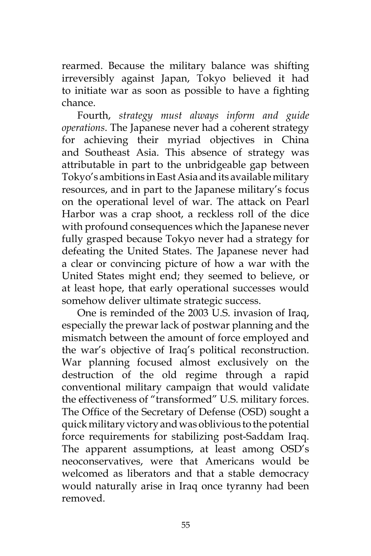rearmed. Because the military balance was shifting irreversibly against Japan, Tokyo believed it had to initiate war as soon as possible to have a fighting chance.

Fourth, *strategy must always inform and guide operations*. The Japanese never had a coherent strategy for achieving their myriad objectives in China and Southeast Asia. This absence of strategy was attributable in part to the unbridgeable gap between Tokyo's ambitions in East Asia and its available military resources, and in part to the Japanese military's focus on the operational level of war. The attack on Pearl Harbor was a crap shoot, a reckless roll of the dice with profound consequences which the Japanese never fully grasped because Tokyo never had a strategy for defeating the United States. The Japanese never had a clear or convincing picture of how a war with the United States might end; they seemed to believe, or at least hope, that early operational successes would somehow deliver ultimate strategic success.

One is reminded of the 2003 U.S. invasion of Iraq, especially the prewar lack of postwar planning and the mismatch between the amount of force employed and the war's objective of Iraq's political reconstruction. War planning focused almost exclusively on the destruction of the old regime through a rapid conventional military campaign that would validate the effectiveness of "transformed" U.S. military forces. The Office of the Secretary of Defense (OSD) sought a quick military victory and was oblivious to the potential force requirements for stabilizing post-Saddam Iraq. The apparent assumptions, at least among OSD's neoconservatives, were that Americans would be welcomed as liberators and that a stable democracy would naturally arise in Iraq once tyranny had been removed.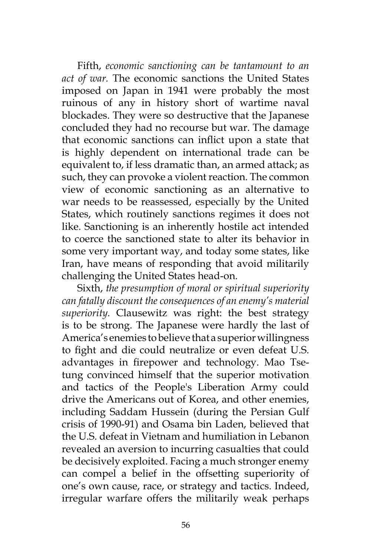Fifth, *economic sanctioning can be tantamount to an act of war.* The economic sanctions the United States imposed on Japan in 1941 were probably the most ruinous of any in history short of wartime naval blockades. They were so destructive that the Japanese concluded they had no recourse but war. The damage that economic sanctions can inflict upon a state that is highly dependent on international trade can be equivalent to, if less dramatic than, an armed attack; as such, they can provoke a violent reaction. The common view of economic sanctioning as an alternative to war needs to be reassessed, especially by the United States, which routinely sanctions regimes it does not like. Sanctioning is an inherently hostile act intended to coerce the sanctioned state to alter its behavior in some very important way, and today some states, like Iran, have means of responding that avoid militarily challenging the United States head-on.

Sixth, *the presumption of moral or spiritual superiority can fatally discount the consequences of an enemy's material superiority.* Clausewitz was right: the best strategy is to be strong. The Japanese were hardly the last of America's enemies to believe that a superior willingness to fight and die could neutralize or even defeat U.S. advantages in firepower and technology. Mao Tsetung convinced himself that the superior motivation and tactics of the People's Liberation Army could drive the Americans out of Korea, and other enemies, including Saddam Hussein (during the Persian Gulf crisis of 1990-91) and Osama bin Laden, believed that the U.S. defeat in Vietnam and humiliation in Lebanon revealed an aversion to incurring casualties that could be decisively exploited. Facing a much stronger enemy can compel a belief in the offsetting superiority of one's own cause, race, or strategy and tactics. Indeed, irregular warfare offers the militarily weak perhaps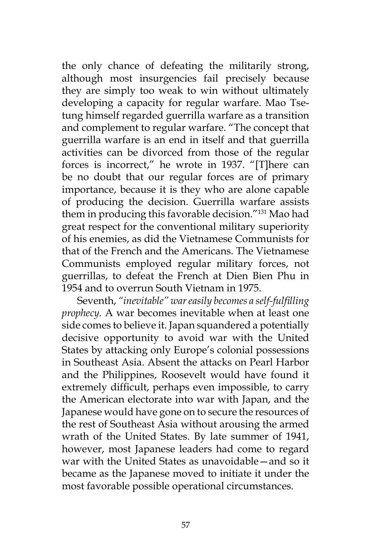the only chance of defeating the militarily strong, although most insurgencies fail precisely because they are simply too weak to win without ultimately developing a capacity for regular warfare. Mao Tsetung himself regarded guerrilla warfare as a transition and complement to regular warfare. "The concept that guerrilla warfare is an end in itself and that guerrilla activities can be divorced from those of the regular forces is incorrect," he wrote in 1937. "[T]here can be no doubt that our regular forces are of primary importance, because it is they who are alone capable of producing the decision. Guerrilla warfare assists them in producing this favorable decision."131 Mao had great respect for the conventional military superiority of his enemies, as did the Vietnamese Communists for that of the French and the Americans. The Vietnamese Communists employed regular military forces, not guerrillas, to defeat the French at Dien Bien Phu in 1954 and to overrun South Vietnam in 1975.

Seventh, *"inevitable" war easily becomes a self-fulfilling prophecy.* A war becomes inevitable when at least one side comes to believe it. Japan squandered a potentially decisive opportunity to avoid war with the United States by attacking only Europe's colonial possessions in Southeast Asia. Absent the attacks on Pearl Harbor and the Philippines, Roosevelt would have found it extremely difficult, perhaps even impossible, to carry the American electorate into war with Japan, and the Japanese would have gone on to secure the resources of the rest of Southeast Asia without arousing the armed wrath of the United States. By late summer of 1941, however, most Japanese leaders had come to regard war with the United States as unavoidable—and so it became as the Japanese moved to initiate it under the most favorable possible operational circumstances.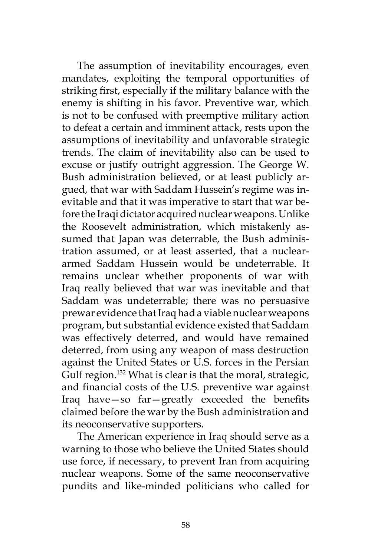The assumption of inevitability encourages, even mandates, exploiting the temporal opportunities of striking first, especially if the military balance with the enemy is shifting in his favor. Preventive war, which is not to be confused with preemptive military action to defeat a certain and imminent attack, rests upon the assumptions of inevitability and unfavorable strategic trends. The claim of inevitability also can be used to excuse or justify outright aggression. The George W. Bush administration believed, or at least publicly argued, that war with Saddam Hussein's regime was inevitable and that it was imperative to start that war before the Iraqi dictator acquired nuclear weapons. Unlike the Roosevelt administration, which mistakenly assumed that Japan was deterrable, the Bush administration assumed, or at least asserted, that a nucleararmed Saddam Hussein would be undeterrable. It remains unclear whether proponents of war with Iraq really believed that war was inevitable and that Saddam was undeterrable; there was no persuasive prewar evidence that Iraq had a viable nuclear weapons program, but substantial evidence existed that Saddam was effectively deterred, and would have remained deterred, from using any weapon of mass destruction against the United States or U.S. forces in the Persian Gulf region.<sup>132</sup> What is clear is that the moral, strategic, and financial costs of the U.S. preventive war against Iraq have—so far—greatly exceeded the benefits claimed before the war by the Bush administration and its neoconservative supporters.

The American experience in Iraq should serve as a warning to those who believe the United States should use force, if necessary, to prevent Iran from acquiring nuclear weapons. Some of the same neoconservative pundits and like-minded politicians who called for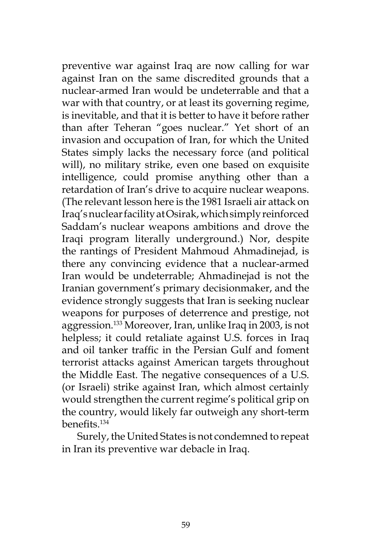preventive war against Iraq are now calling for war against Iran on the same discredited grounds that a nuclear-armed Iran would be undeterrable and that a war with that country, or at least its governing regime, is inevitable, and that it is better to have it before rather than after Teheran "goes nuclear." Yet short of an invasion and occupation of Iran, for which the United States simply lacks the necessary force (and political will), no military strike, even one based on exquisite intelligence, could promise anything other than a retardation of Iran's drive to acquire nuclear weapons. (The relevant lesson here is the 1981 Israeli air attack on Iraq's nuclear facility at Osirak, which simply reinforced Saddam's nuclear weapons ambitions and drove the Iraqi program literally underground.) Nor, despite the rantings of President Mahmoud Ahmadinejad, is there any convincing evidence that a nuclear-armed Iran would be undeterrable; Ahmadinejad is not the Iranian government's primary decisionmaker, and the evidence strongly suggests that Iran is seeking nuclear weapons for purposes of deterrence and prestige, not aggression.133 Moreover, Iran, unlike Iraq in 2003, is not helpless; it could retaliate against U.S. forces in Iraq and oil tanker traffic in the Persian Gulf and foment terrorist attacks against American targets throughout the Middle East. The negative consequences of a U.S. (or Israeli) strike against Iran, which almost certainly would strengthen the current regime's political grip on the country, would likely far outweigh any short-term benefits.<sup>134</sup>

Surely, the United States is not condemned to repeat in Iran its preventive war debacle in Iraq.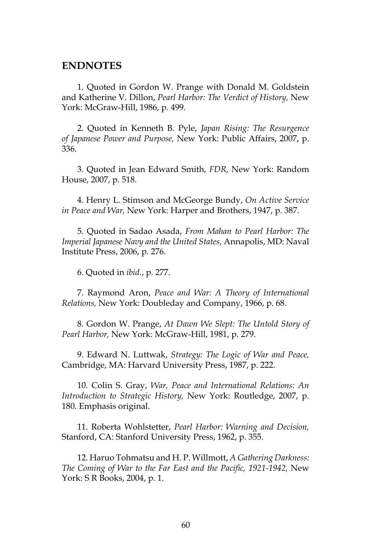### **ENDNOTES**

1. Quoted in Gordon W. Prange with Donald M. Goldstein and Katherine V. Dillon, *Pearl Harbor: The Verdict of History,* New York: McGraw-Hill, 1986, p. 499.

2. Quoted in Kenneth B. Pyle, *Japan Rising: The Resurgence of Japanese Power and Purpose,* New York: Public Affairs, 2007, p. 336.

3. Quoted in Jean Edward Smith, *FDR,* New York: Random House, 2007, p. 518.

4. Henry L. Stimson and McGeorge Bundy, *On Active Service in Peace and War,* New York: Harper and Brothers, 1947, p. 387.

5. Quoted in Sadao Asada, *From Mahan to Pearl Harbor: The Imperial Japanese Navy and the United States,* Annapolis, MD: Naval Institute Press, 2006, p. 276.

6. Quoted in *ibid*., p. 277.

7. Raymond Aron, *Peace and War: A Theory of International Relations,* New York: Doubleday and Company, 1966, p. 68.

8. Gordon W. Prange, *At Dawn We Slept: The Untold Story of Pearl Harbor,* New York: McGraw-Hill, 1981, p. 279.

9. Edward N. Luttwak, *Strategy: The Logic of War and Peace,*  Cambridge, MA: Harvard University Press, 1987, p. 222.

10. Colin S. Gray, *War, Peace and International Relations: An Introduction to Strategic History,* New York: Routledge, 2007, p. 180. Emphasis original.

11. Roberta Wohlstetter, *Pearl Harbor: Warning and Decision,*  Stanford, CA: Stanford University Press, 1962, p. 355.

12. Haruo Tohmatsu and H. P. Willmott, *A Gathering Darkness: The Coming of War to the Far East and the Pacific, 1921-1942,* New York: S R Books, 2004, p. 1.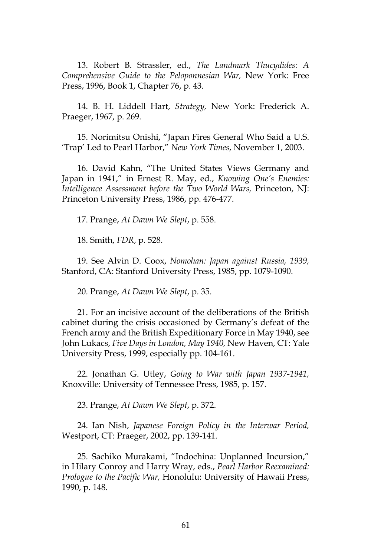13. Robert B. Strassler, ed., *The Landmark Thucydides: A Comprehensive Guide to the Peloponnesian War,* New York: Free Press, 1996, Book 1, Chapter 76, p. 43.

14. B. H. Liddell Hart, *Strategy,* New York: Frederick A. Praeger, 1967, p. 269.

15. Norimitsu Onishi, "Japan Fires General Who Said a U.S. 'Trap' Led to Pearl Harbor," *New York Times*, November 1, 2003.

16. David Kahn, "The United States Views Germany and Japan in 1941," in Ernest R. May, ed., *Knowing One's Enemies: Intelligence Assessment before the Two World Wars,* Princeton, NJ: Princeton University Press, 1986, pp. 476-477.

17. Prange, *At Dawn We Slept*, p. 558.

18. Smith, *FDR*, p. 528.

19. See Alvin D. Coox, *Nomohan: Japan against Russia, 1939,*  Stanford, CA: Stanford University Press, 1985, pp. 1079-1090.

20. Prange, *At Dawn We Slept*, p. 35.

21. For an incisive account of the deliberations of the British cabinet during the crisis occasioned by Germany's defeat of the French army and the British Expeditionary Force in May 1940, see John Lukacs, *Five Days in London, May 1940,* New Haven, CT: Yale University Press, 1999, especially pp. 104-161.

22. Jonathan G. Utley, *Going to War with Japan 1937-1941,*  Knoxville: University of Tennessee Press, 1985, p. 157.

23. Prange, *At Dawn We Slept*, p. 372.

24. Ian Nish, *Japanese Foreign Policy in the Interwar Period,*  Westport, CT: Praeger, 2002, pp. 139-141.

25. Sachiko Murakami, "Indochina: Unplanned Incursion," in Hilary Conroy and Harry Wray, eds., *Pearl Harbor Reexamined: Prologue to the Pacific War,* Honolulu: University of Hawaii Press, 1990, p. 148.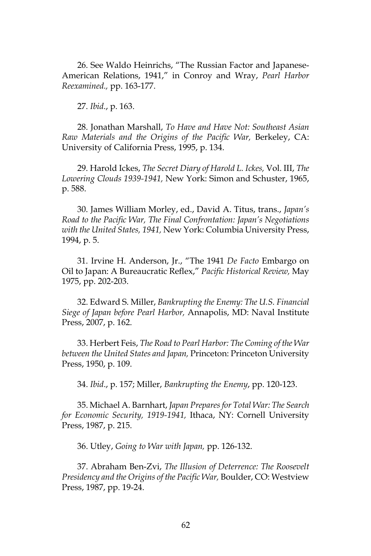26. See Waldo Heinrichs, "The Russian Factor and Japanese-American Relations, 1941," in Conroy and Wray, *Pearl Harbor Reexamined.,* pp. 163-177.

27. *Ibid*., p. 163.

28. Jonathan Marshall, *To Have and Have Not: Southeast Asian Raw Materials and the Origins of the Pacific War,* Berkeley, CA: University of California Press, 1995, p. 134.

29. Harold Ickes, *The Secret Diary of Harold L. Ickes,* Vol. III, *The Lowering Clouds 1939-1941,* New York: Simon and Schuster, 1965, p. 588.

30. James William Morley, ed., David A. Titus, trans., *Japan's Road to the Pacific War, The Final Confrontation: Japan's Negotiations with the United States, 1941,* New York: Columbia University Press, 1994, p. 5.

31. Irvine H. Anderson, Jr., "The 1941 *De Facto* Embargo on Oil to Japan: A Bureaucratic Reflex," *Pacific Historical Review,* May 1975, pp. 202-203.

32. Edward S. Miller, *Bankrupting the Enemy: The U.S. Financial Siege of Japan before Pearl Harbor,* Annapolis, MD: Naval Institute Press, 2007, p. 162.

33. Herbert Feis, *The Road to Pearl Harbor: The Coming of the War between the United States and Japan,* Princeton: Princeton University Press, 1950, p. 109.

34. *Ibid*., p. 157; Miller, *Bankrupting the Enemy*, pp. 120-123.

35. Michael A. Barnhart, *Japan Prepares for Total War: The Search for Economic Security, 1919-1941,* Ithaca, NY: Cornell University Press, 1987, p. 215.

36. Utley, *Going to War with Japan,* pp. 126-132.

37. Abraham Ben-Zvi, *The Illusion of Deterrence: The Roosevelt Presidency and the Origins of the Pacific War,* Boulder, CO: Westview Press, 1987, pp. 19-24.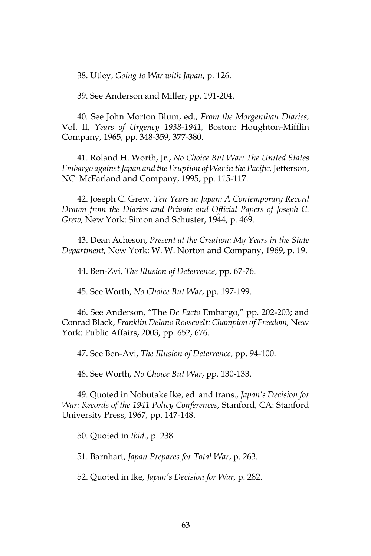38. Utley, *Going to War with Japan*, p. 126.

39. See Anderson and Miller, pp. 191-204.

40. See John Morton Blum, ed., *From the Morgenthau Diaries,*  Vol. II, *Years of Urgency 1938-1941,* Boston: Houghton-Mifflin Company, 1965, pp. 348-359, 377-380.

41. Roland H. Worth, Jr., *No Choice But War: The United States Embargo against Japan and the Eruption of War in the Pacific,* Jefferson, NC: McFarland and Company, 1995, pp. 115-117.

42. Joseph C. Grew, *Ten Years in Japan: A Contemporary Record Drawn from the Diaries and Private and Official Papers of Joseph C. Grew,* New York: Simon and Schuster, 1944, p. 469.

43. Dean Acheson, *Present at the Creation: My Years in the State Department,* New York: W. W. Norton and Company, 1969, p. 19.

44. Ben-Zvi, *The Illusion of Deterrence*, pp. 67-76.

45. See Worth, *No Choice But War*, pp. 197-199.

46. See Anderson, "The *De Facto* Embargo," pp. 202-203; and Conrad Black, *Franklin Delano Roosevelt: Champion of Freedom,* New York: Public Affairs, 2003, pp. 652, 676.

47. See Ben-Avi, *The Illusion of Deterrence*, pp. 94-100.

48. See Worth, *No Choice But War*, pp. 130-133.

49. Quoted in Nobutake Ike, ed. and trans., *Japan's Decision for War: Records of the 1941 Policy Conferences,* Stanford, CA: Stanford University Press, 1967, pp. 147-148.

50. Quoted in *Ibid*., p. 238.

51. Barnhart, *Japan Prepares for Total War*, p. 263.

52. Quoted in Ike, *Japan's Decision for War*, p. 282.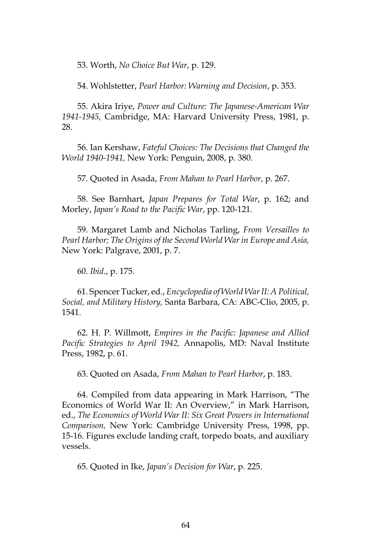53. Worth, *No Choice But War*, p. 129.

54. Wohlstetter, *Pearl Harbor: Warning and Decision*, p. 353.

55. Akira Iriye, *Power and Culture: The Japanese-American War 1941-1945,* Cambridge, MA: Harvard University Press, 1981, p. 28.

56. Ian Kershaw, *Fateful Choices: The Decisions that Changed the World 1940-1941,* New York: Penguin, 2008, p. 380.

57. Quoted in Asada, *From Mahan to Pearl Harbor*, p. 267.

58. See Barnhart, *Japan Prepares for Total War*, p. 162; and Morley, *Japan's Road to the Pacific War*, pp. 120-121.

59. Margaret Lamb and Nicholas Tarling, *From Versailles to Pearl Harbor; The Origins of the Second World War in Europe and Asia,*  New York: Palgrave, 2001, p. 7.

60. *Ibid*., p. 175.

61. Spencer Tucker, ed., *Encyclopedia of World War II: A Political, Social, and Military History,* Santa Barbara, CA: ABC-Clio, 2005, p. 1541.

62. H. P. Willmott, *Empires in the Pacific: Japanese and Allied Pacific Strategies to April 1942,* Annapolis, MD: Naval Institute Press, 1982, p. 61.

63. Quoted on Asada, *From Mahan to Pearl Harbor*, p. 183.

64. Compiled from data appearing in Mark Harrison, "The Economics of World War II: An Overview," in Mark Harrison, ed., *The Economics of World War II: Six Great Powers in International Comparison,* New York: Cambridge University Press, 1998, pp. 15-16. Figures exclude landing craft, torpedo boats, and auxiliary vessels.

65. Quoted in Ike, *Japan's Decision for War*, p. 225.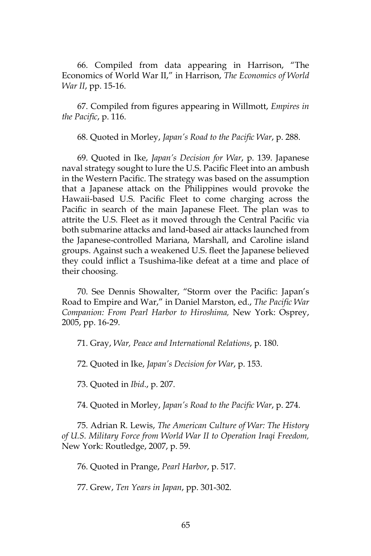66. Compiled from data appearing in Harrison, "The Economics of World War II," in Harrison, *The Economics of World War II*, pp. 15-16.

67. Compiled from figures appearing in Willmott, *Empires in the Pacific*, p. 116.

68. Quoted in Morley, *Japan's Road to the Pacific War*, p. 288.

69. Quoted in Ike, *Japan's Decision for War*, p. 139. Japanese naval strategy sought to lure the U.S. Pacific Fleet into an ambush in the Western Pacific. The strategy was based on the assumption that a Japanese attack on the Philippines would provoke the Hawaii-based U.S. Pacific Fleet to come charging across the Pacific in search of the main Japanese Fleet. The plan was to attrite the U.S. Fleet as it moved through the Central Pacific via both submarine attacks and land-based air attacks launched from the Japanese-controlled Mariana, Marshall, and Caroline island groups. Against such a weakened U.S. fleet the Japanese believed they could inflict a Tsushima-like defeat at a time and place of their choosing.

70. See Dennis Showalter, "Storm over the Pacific: Japan's Road to Empire and War," in Daniel Marston, ed., *The Pacific War Companion: From Pearl Harbor to Hiroshima,* New York: Osprey, 2005, pp. 16-29.

71. Gray, *War, Peace and International Relations*, p. 180.

72. Quoted in Ike, *Japan's Decision for War*, p. 153.

73. Quoted in *Ibid*., p. 207.

74. Quoted in Morley, *Japan's Road to the Pacific War*, p. 274.

75. Adrian R. Lewis, *The American Culture of War: The History of U.S. Military Force from World War II to Operation Iraqi Freedom,*  New York: Routledge, 2007, p. 59.

76. Quoted in Prange, *Pearl Harbor*, p. 517.

77. Grew, *Ten Years in Japan*, pp. 301-302.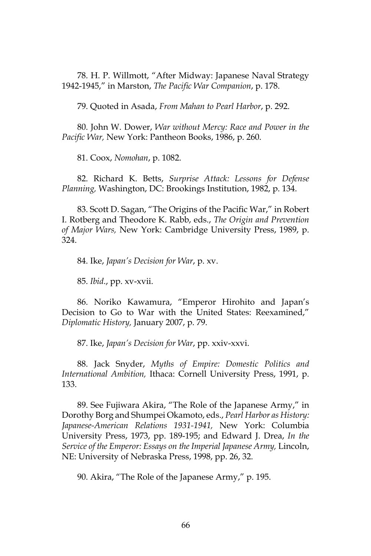78. H. P. Willmott, "After Midway: Japanese Naval Strategy 1942-1945," in Marston, *The Pacific War Companion*, p. 178.

79. Quoted in Asada, *From Mahan to Pearl Harbor*, p. 292.

80. John W. Dower, *War without Mercy: Race and Power in the Pacific War,* New York: Pantheon Books, 1986, p. 260.

81. Coox, *Nomohan*, p. 1082.

82. Richard K. Betts, *Surprise Attack: Lessons for Defense Planning,* Washington, DC: Brookings Institution, 1982, p. 134.

83. Scott D. Sagan, "The Origins of the Pacific War," in Robert I. Rotberg and Theodore K. Rabb, eds., *The Origin and Prevention of Major Wars,* New York: Cambridge University Press, 1989, p. 324.

84. Ike, *Japan's Decision for War*, p. xv.

85. *Ibid*., pp. xv-xvii.

86. Noriko Kawamura, "Emperor Hirohito and Japan's Decision to Go to War with the United States: Reexamined," *Diplomatic History,* January 2007, p. 79.

87. Ike, *Japan's Decision for War*, pp. xxiv-xxvi.

88. Jack Snyder, *Myths of Empire: Domestic Politics and International Ambition,* Ithaca: Cornell University Press, 1991, p. 133.

89. See Fujiwara Akira, "The Role of the Japanese Army," in Dorothy Borg and Shumpei Okamoto, eds., *Pearl Harbor as History: Japanese-American Relations 1931-1941,* New York: Columbia University Press, 1973, pp. 189-195; and Edward J. Drea, *In the Service of the Emperor: Essays on the Imperial Japanese Army,* Lincoln, NE: University of Nebraska Press, 1998, pp. 26, 32.

90. Akira, "The Role of the Japanese Army," p. 195.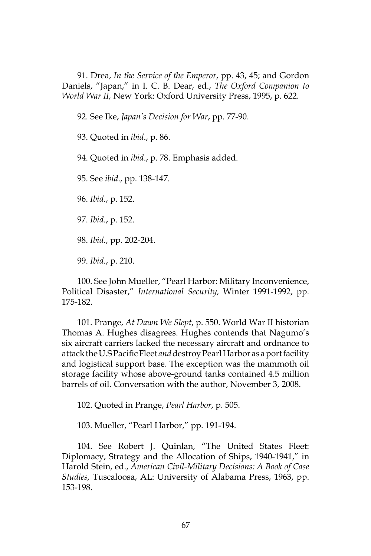91. Drea, *In the Service of the Emperor*, pp. 43, 45; and Gordon Daniels, "Japan," in I. C. B. Dear, ed., *The Oxford Companion to World War II,* New York: Oxford University Press, 1995, p. 622.

92. See Ike, *Japan's Decision for War*, pp. 77-90.

93. Quoted in *ibid*., p. 86.

94. Quoted in *ibid*., p. 78. Emphasis added.

95. See *ibid*., pp. 138-147.

96. *Ibid*., p. 152.

97. *Ibid*., p. 152.

98. *Ibid*., pp. 202-204.

99. *Ibid*., p. 210.

100. See John Mueller, "Pearl Harbor: Military Inconvenience, Political Disaster," *International Security,* Winter 1991-1992, pp. 175-182.

101. Prange, *At Dawn We Slept*, p. 550. World War II historian Thomas A. Hughes disagrees. Hughes contends that Nagumo's six aircraft carriers lacked the necessary aircraft and ordnance to attack the U.S Pacific Fleet *and* destroy Pearl Harbor as a port facility and logistical support base. The exception was the mammoth oil storage facility whose above-ground tanks contained 4.5 million barrels of oil. Conversation with the author, November 3, 2008.

102. Quoted in Prange, *Pearl Harbor*, p. 505.

103. Mueller, "Pearl Harbor," pp. 191-194.

104. See Robert J. Quinlan, "The United States Fleet: Diplomacy, Strategy and the Allocation of Ships, 1940-1941," in Harold Stein, ed., *American Civil-Military Decisions: A Book of Case Studies,* Tuscaloosa, AL: University of Alabama Press, 1963, pp. 153-198.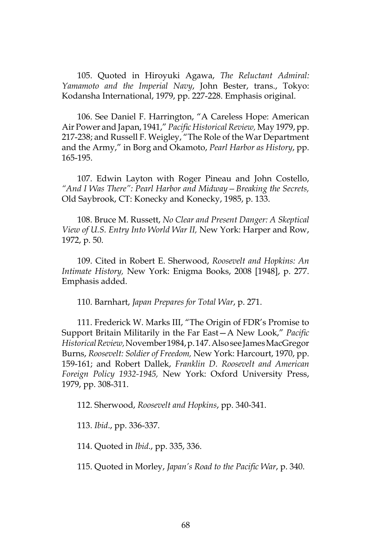105. Quoted in Hiroyuki Agawa, *The Reluctant Admiral: Yamamoto and the Imperial Navy*, John Bester, trans., Tokyo: Kodansha International, 1979, pp. 227-228. Emphasis original.

106. See Daniel F. Harrington, "A Careless Hope: American Air Power and Japan, 1941," *Pacific Historical Review,* May 1979, pp. 217-238; and Russell F. Weigley, "The Role of the War Department and the Army," in Borg and Okamoto, *Pearl Harbor as History*, pp. 165-195.

107. Edwin Layton with Roger Pineau and John Costello, *"And I Was There": Pearl Harbor and Midway—Breaking the Secrets,*  Old Saybrook, CT: Konecky and Konecky, 1985, p. 133.

108. Bruce M. Russett, *No Clear and Present Danger: A Skeptical View of U.S. Entry Into World War II,* New York: Harper and Row, 1972, p. 50.

109. Cited in Robert E. Sherwood, *Roosevelt and Hopkins: An Intimate History,* New York: Enigma Books, 2008 [1948], p. 277. Emphasis added.

110. Barnhart, *Japan Prepares for Total War*, p. 271.

111. Frederick W. Marks III, "The Origin of FDR's Promise to Support Britain Militarily in the Far East—A New Look," *Pacific Historical Review,* November 1984, p. 147. Also see James MacGregor Burns, *Roosevelt: Soldier of Freedom,* New York: Harcourt, 1970, pp. 159-161; and Robert Dallek, *Franklin D. Roosevelt and American Foreign Policy 1932-1945,* New York: Oxford University Press, 1979, pp. 308-311.

112. Sherwood, *Roosevelt and Hopkins*, pp. 340-341.

113. *Ibid*., pp. 336-337.

114. Quoted in *Ibid*., pp. 335, 336.

115. Quoted in Morley, *Japan's Road to the Pacific War*, p. 340.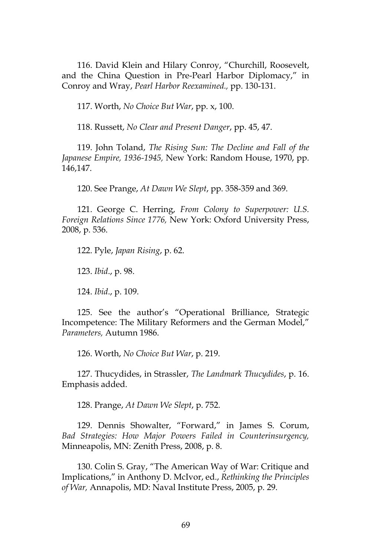116. David Klein and Hilary Conroy, "Churchill, Roosevelt, and the China Question in Pre-Pearl Harbor Diplomacy," in Conroy and Wray, *Pearl Harbor Reexamined.,* pp. 130-131.

117. Worth, *No Choice But War*, pp. x, 100.

118. Russett, *No Clear and Present Danger*, pp. 45, 47.

119. John Toland, *The Rising Sun: The Decline and Fall of the Japanese Empire, 1936-1945,* New York: Random House, 1970, pp. 146,147.

120. See Prange, *At Dawn We Slept*, pp. 358-359 and 369.

121. George C. Herring, *From Colony to Superpower: U.S. Foreign Relations Since 1776,* New York: Oxford University Press, 2008, p. 536.

122. Pyle, *Japan Rising*, p. 62.

123. *Ibid*., p. 98.

124. *Ibid*., p. 109.

125. See the author's "Operational Brilliance, Strategic Incompetence: The Military Reformers and the German Model," *Parameters,* Autumn 1986.

126. Worth, *No Choice But War*, p. 219.

127. Thucydides, in Strassler, *The Landmark Thucydides*, p. 16. Emphasis added.

128. Prange, *At Dawn We Slept*, p. 752.

129. Dennis Showalter, "Forward," in James S. Corum, *Bad Strategies: How Major Powers Failed in Counterinsurgency,*  Minneapolis, MN: Zenith Press, 2008, p. 8.

130. Colin S. Gray, "The American Way of War: Critique and Implications," in Anthony D. McIvor, ed., *Rethinking the Principles of War,* Annapolis, MD: Naval Institute Press, 2005, p. 29.